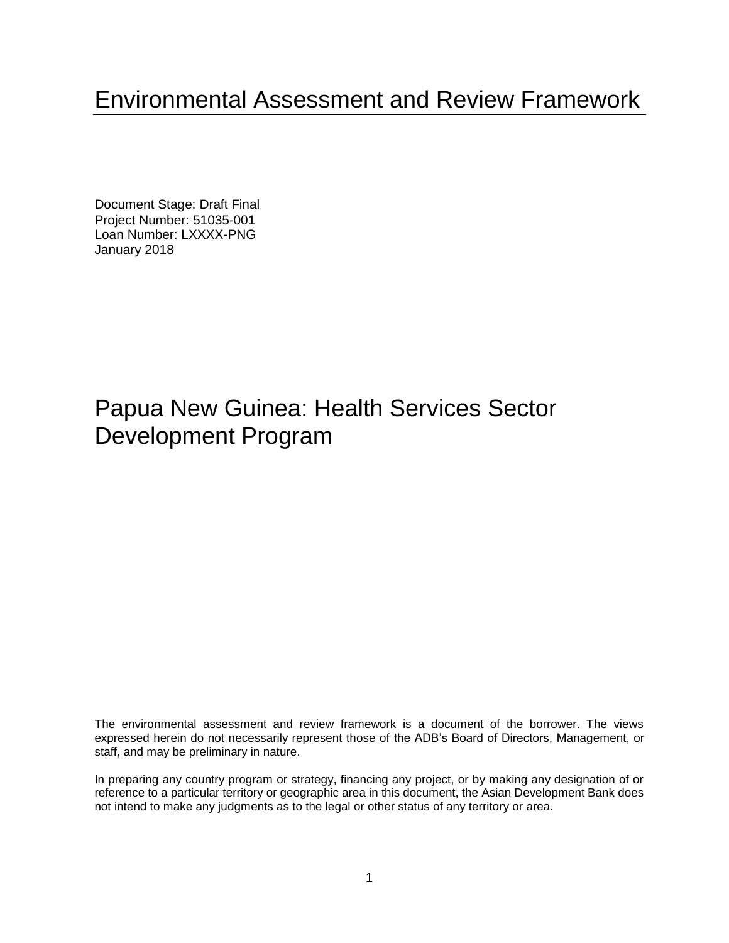# Environmental Assessment and Review Framework

Document Stage: Draft Final Project Number: 51035-001 Loan Number: LXXXX-PNG January 2018

# Papua New Guinea: Health Services Sector Development Program

The environmental assessment and review framework is a document of the borrower. The views expressed herein do not necessarily represent those of the ADB's Board of Directors, Management, or staff, and may be preliminary in nature.

In preparing any country program or strategy, financing any project, or by making any designation of or reference to a particular territory or geographic area in this document, the Asian Development Bank does not intend to make any judgments as to the legal or other status of any territory or area.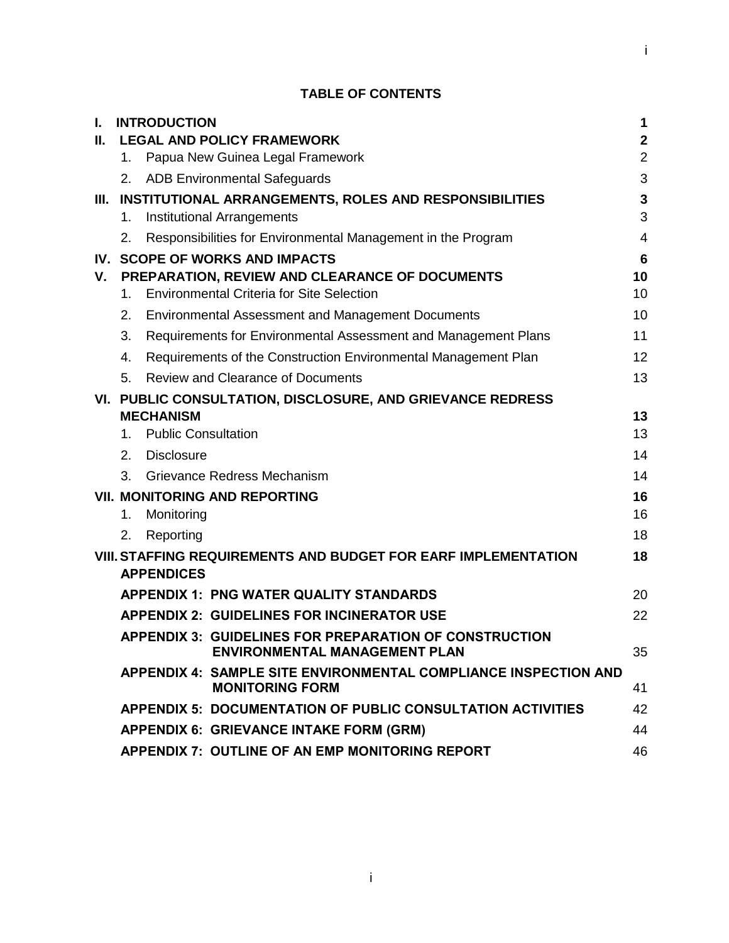# i

## **TABLE OF CONTENTS**

| L.  | <b>INTRODUCTION</b>                                                                       | 1               |
|-----|-------------------------------------------------------------------------------------------|-----------------|
| II. | <b>LEGAL AND POLICY FRAMEWORK</b>                                                         | $\mathbf{2}$    |
|     | Papua New Guinea Legal Framework<br>1.                                                    | $\overline{2}$  |
|     | 2. ADB Environmental Safeguards                                                           | 3               |
|     | III. INSTITUTIONAL ARRANGEMENTS, ROLES AND RESPONSIBILITIES                               | $\mathbf{3}$    |
|     | Institutional Arrangements<br>1.                                                          | 3               |
|     | Responsibilities for Environmental Management in the Program<br>2.                        | $\overline{4}$  |
|     | IV. SCOPE OF WORKS AND IMPACTS                                                            | $6\phantom{1}6$ |
| V.  | PREPARATION, REVIEW AND CLEARANCE OF DOCUMENTS                                            | 10              |
|     | <b>Environmental Criteria for Site Selection</b><br>$1_{-}$                               | 10              |
|     | 2.<br><b>Environmental Assessment and Management Documents</b>                            | 10              |
|     | 3.<br>Requirements for Environmental Assessment and Management Plans                      | 11              |
|     | Requirements of the Construction Environmental Management Plan<br>4.                      | 12              |
|     | 5.<br><b>Review and Clearance of Documents</b>                                            | 13              |
|     | VI. PUBLIC CONSULTATION, DISCLOSURE, AND GRIEVANCE REDRESS                                |                 |
|     | <b>MECHANISM</b>                                                                          | 13              |
|     | <b>Public Consultation</b><br>1.                                                          | 13              |
|     | 2. Disclosure                                                                             | 14              |
|     | Grievance Redress Mechanism<br>3.                                                         | 14              |
|     | <b>VII. MONITORING AND REPORTING</b>                                                      | 16              |
|     | Monitoring<br>1.                                                                          | 16              |
|     | Reporting<br>2.                                                                           | 18              |
|     | <b>VIII. STAFFING REQUIREMENTS AND BUDGET FOR EARF IMPLEMENTATION</b>                     | 18              |
|     | <b>APPENDICES</b>                                                                         |                 |
|     | <b>APPENDIX 1: PNG WATER QUALITY STANDARDS</b>                                            | 20              |
|     | <b>APPENDIX 2: GUIDELINES FOR INCINERATOR USE</b>                                         | 22              |
|     | <b>APPENDIX 3: GUIDELINES FOR PREPARATION OF CONSTRUCTION</b>                             |                 |
|     | <b>ENVIRONMENTAL MANAGEMENT PLAN</b>                                                      | 35              |
|     | APPENDIX 4: SAMPLE SITE ENVIRONMENTAL COMPLIANCE INSPECTION AND<br><b>MONITORING FORM</b> | 41              |
|     | <b>APPENDIX 5: DOCUMENTATION OF PUBLIC CONSULTATION ACTIVITIES</b>                        | 42              |
|     | <b>APPENDIX 6: GRIEVANCE INTAKE FORM (GRM)</b>                                            | 44              |
|     | APPENDIX 7: OUTLINE OF AN EMP MONITORING REPORT                                           | 46              |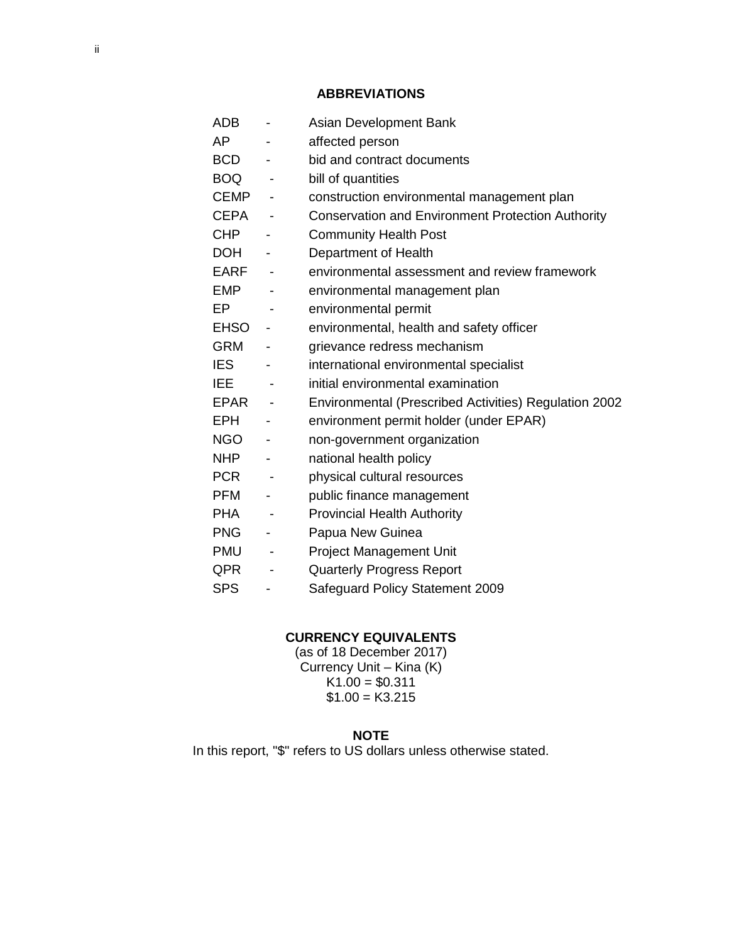#### **ABBREVIATIONS**

ADB - Asian Development Bank AP - affected person BCD - bid and contract documents BOQ - bill of quantities CEMP - construction environmental management plan CEPA - Conservation and Environment Protection Authority CHP - Community Health Post DOH - Department of Health EARF - environmental assessment and review framework EMP - environmental management plan EP - environmental permit EHSO - environmental, health and safety officer GRM - grievance redress mechanism IES - international environmental specialist IEE - initial environmental examination EPAR - Environmental (Prescribed Activities) Regulation 2002 EPH - environment permit holder (under EPAR) NGO - non-government organization NHP - national health policy PCR - physical cultural resources PFM - public finance management PHA - Provincial Health Authority PNG - Papua New Guinea PMU - Project Management Unit QPR - Quarterly Progress Report SPS - Safeguard Policy Statement 2009

#### **CURRENCY EQUIVALENTS**

(as of 18 December 2017) Currency Unit – Kina (K)  $K1.00 = $0.311$  $$1.00 = K3.215$ 

#### **NOTE**

In this report, "\$" refers to US dollars unless otherwise stated.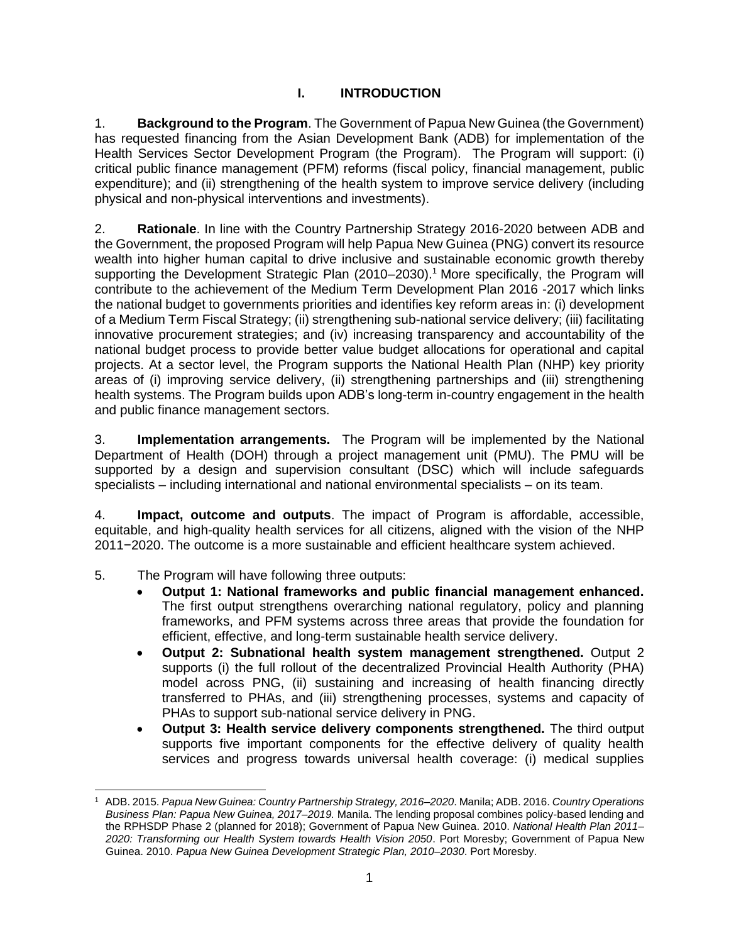## **I. INTRODUCTION**

1. **Background to the Program**. The Government of Papua New Guinea (the Government) has requested financing from the Asian Development Bank (ADB) for implementation of the Health Services Sector Development Program (the Program). The Program will support: (i) critical public finance management (PFM) reforms (fiscal policy, financial management, public expenditure); and (ii) strengthening of the health system to improve service delivery (including physical and non-physical interventions and investments).

2. **Rationale**. In line with the Country Partnership Strategy 2016-2020 between ADB and the Government, the proposed Program will help Papua New Guinea (PNG) convert its resource wealth into higher human capital to drive inclusive and sustainable economic growth thereby supporting the Development Strategic Plan (2010–2030).<sup>1</sup> More specifically, the Program will contribute to the achievement of the Medium Term Development Plan 2016 -2017 which links the national budget to governments priorities and identifies key reform areas in: (i) development of a Medium Term Fiscal Strategy; (ii) strengthening sub-national service delivery; (iii) facilitating innovative procurement strategies; and (iv) increasing transparency and accountability of the national budget process to provide better value budget allocations for operational and capital projects. At a sector level, the Program supports the National Health Plan (NHP) key priority areas of (i) improving service delivery, (ii) strengthening partnerships and (iii) strengthening health systems. The Program builds upon ADB's long-term in-country engagement in the health and public finance management sectors.

3. **Implementation arrangements.** The Program will be implemented by the National Department of Health (DOH) through a project management unit (PMU). The PMU will be supported by a design and supervision consultant (DSC) which will include safeguards specialists – including international and national environmental specialists – on its team.

4. **Impact, outcome and outputs**. The impact of Program is affordable, accessible, equitable, and high-quality health services for all citizens, aligned with the vision of the NHP 2011−2020. The outcome is a more sustainable and efficient healthcare system achieved.

5. The Program will have following three outputs:

- **Output 1: National frameworks and public financial management enhanced.** The first output strengthens overarching national regulatory, policy and planning frameworks, and PFM systems across three areas that provide the foundation for efficient, effective, and long-term sustainable health service delivery.
- **Output 2: Subnational health system management strengthened.** Output 2 supports (i) the full rollout of the decentralized Provincial Health Authority (PHA) model across PNG, (ii) sustaining and increasing of health financing directly transferred to PHAs, and (iii) strengthening processes, systems and capacity of PHAs to support sub-national service delivery in PNG.
- **Output 3: Health service delivery components strengthened.** The third output supports five important components for the effective delivery of quality health services and progress towards universal health coverage: (i) medical supplies

<sup>1</sup> ADB. 2015. *Papua New Guinea: Country Partnership Strategy, 2016*–*2020*. Manila; ADB. 2016. *Country Operations Business Plan: Papua New Guinea, 2017*–*2019.* Manila. The lending proposal combines policy-based lending and the RPHSDP Phase 2 (planned for 2018); Government of Papua New Guinea. 2010. *National Health Plan 2011– 2020: Transforming our Health System towards Health Vision 2050*. Port Moresby; Government of Papua New Guinea. 2010. *Papua New Guinea Development Strategic Plan, 2010–2030*. Port Moresby.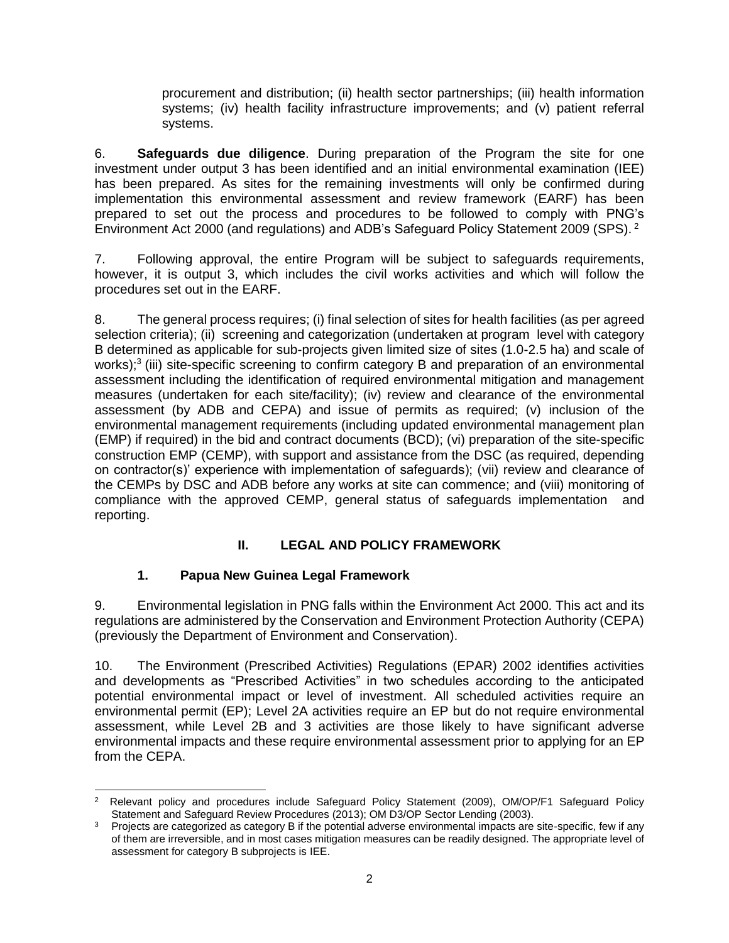procurement and distribution; (ii) health sector partnerships; (iii) health information systems; (iv) health facility infrastructure improvements; and (v) patient referral systems.

6. **Safeguards due diligence**. During preparation of the Program the site for one investment under output 3 has been identified and an initial environmental examination (IEE) has been prepared. As sites for the remaining investments will only be confirmed during implementation this environmental assessment and review framework (EARF) has been prepared to set out the process and procedures to be followed to comply with PNG's Environment Act 2000 (and regulations) and ADB's Safeguard Policy Statement 2009 (SPS). <sup>2</sup>

7. Following approval, the entire Program will be subject to safeguards requirements, however, it is output 3, which includes the civil works activities and which will follow the procedures set out in the EARF.

8. The general process requires; (i) final selection of sites for health facilities (as per agreed selection criteria); (ii) screening and categorization (undertaken at program level with category B determined as applicable for sub-projects given limited size of sites (1.0-2.5 ha) and scale of works);<sup>3</sup> (iii) site-specific screening to confirm category B and preparation of an environmental assessment including the identification of required environmental mitigation and management measures (undertaken for each site/facility); (iv) review and clearance of the environmental assessment (by ADB and CEPA) and issue of permits as required; (v) inclusion of the environmental management requirements (including updated environmental management plan (EMP) if required) in the bid and contract documents (BCD); (vi) preparation of the site-specific construction EMP (CEMP), with support and assistance from the DSC (as required, depending on contractor(s)' experience with implementation of safeguards); (vii) review and clearance of the CEMPs by DSC and ADB before any works at site can commence; and (viii) monitoring of compliance with the approved CEMP, general status of safeguards implementation and reporting.

## **II. LEGAL AND POLICY FRAMEWORK**

## **1. Papua New Guinea Legal Framework**

9. Environmental legislation in PNG falls within the Environment Act 2000. This act and its regulations are administered by the Conservation and Environment Protection Authority (CEPA) (previously the Department of Environment and Conservation).

10. The Environment (Prescribed Activities) Regulations (EPAR) 2002 identifies activities and developments as "Prescribed Activities" in two schedules according to the anticipated potential environmental impact or level of investment. All scheduled activities require an environmental permit (EP); Level 2A activities require an EP but do not require environmental assessment, while Level 2B and 3 activities are those likely to have significant adverse environmental impacts and these require environmental assessment prior to applying for an EP from the CEPA.

 $\overline{2}$ <sup>2</sup> Relevant policy and procedures include Safeguard Policy Statement (2009), OM/OP/F1 Safeguard Policy Statement and Safeguard Review Procedures (2013); OM D3/OP Sector Lending (2003).

<sup>&</sup>lt;sup>3</sup> Projects are categorized as category B if the potential adverse environmental impacts are site-specific, few if any of them are irreversible, and in most cases mitigation measures can be readily designed. The appropriate level of assessment for category B subprojects is IEE.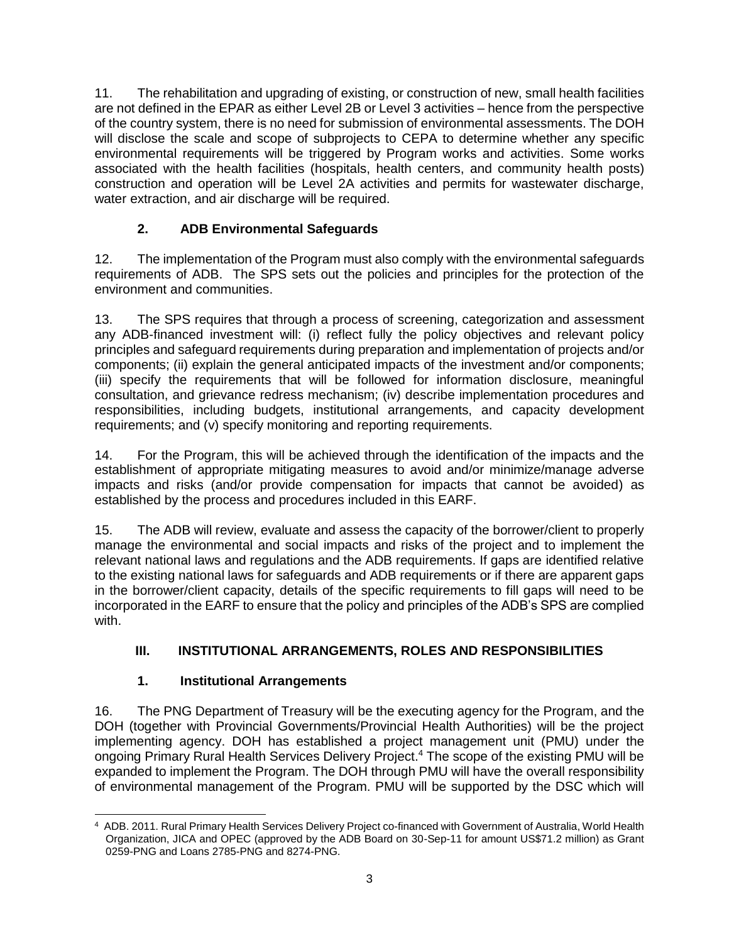11. The rehabilitation and upgrading of existing, or construction of new, small health facilities are not defined in the EPAR as either Level 2B or Level 3 activities – hence from the perspective of the country system, there is no need for submission of environmental assessments. The DOH will disclose the scale and scope of subprojects to CEPA to determine whether any specific environmental requirements will be triggered by Program works and activities. Some works associated with the health facilities (hospitals, health centers, and community health posts) construction and operation will be Level 2A activities and permits for wastewater discharge, water extraction, and air discharge will be required.

# **2. ADB Environmental Safeguards**

12. The implementation of the Program must also comply with the environmental safeguards requirements of ADB. The SPS sets out the policies and principles for the protection of the environment and communities.

13. The SPS requires that through a process of screening, categorization and assessment any ADB-financed investment will: (i) reflect fully the policy objectives and relevant policy principles and safeguard requirements during preparation and implementation of projects and/or components; (ii) explain the general anticipated impacts of the investment and/or components; (iii) specify the requirements that will be followed for information disclosure, meaningful consultation, and grievance redress mechanism; (iv) describe implementation procedures and responsibilities, including budgets, institutional arrangements, and capacity development requirements; and (v) specify monitoring and reporting requirements.

14. For the Program, this will be achieved through the identification of the impacts and the establishment of appropriate mitigating measures to avoid and/or minimize/manage adverse impacts and risks (and/or provide compensation for impacts that cannot be avoided) as established by the process and procedures included in this EARF.

15. The ADB will review, evaluate and assess the capacity of the borrower/client to properly manage the environmental and social impacts and risks of the project and to implement the relevant national laws and regulations and the ADB requirements. If gaps are identified relative to the existing national laws for safeguards and ADB requirements or if there are apparent gaps in the borrower/client capacity, details of the specific requirements to fill gaps will need to be incorporated in the EARF to ensure that the policy and principles of the ADB's SPS are complied with.

# **III. INSTITUTIONAL ARRANGEMENTS, ROLES AND RESPONSIBILITIES**

# **1. Institutional Arrangements**

16. The PNG Department of Treasury will be the executing agency for the Program, and the DOH (together with Provincial Governments/Provincial Health Authorities) will be the project implementing agency. DOH has established a project management unit (PMU) under the ongoing Primary Rural Health Services Delivery Project. <sup>4</sup> The scope of the existing PMU will be expanded to implement the Program. The DOH through PMU will have the overall responsibility of environmental management of the Program. PMU will be supported by the DSC which will

 4 ADB. 2011. Rural Primary Health Services Delivery Project co-financed with Government of Australia, World Health Organization, JICA and OPEC (approved by the ADB Board on 30-Sep-11 for amount US\$71.2 million) as Grant 0259-PNG and Loans 2785-PNG and 8274-PNG.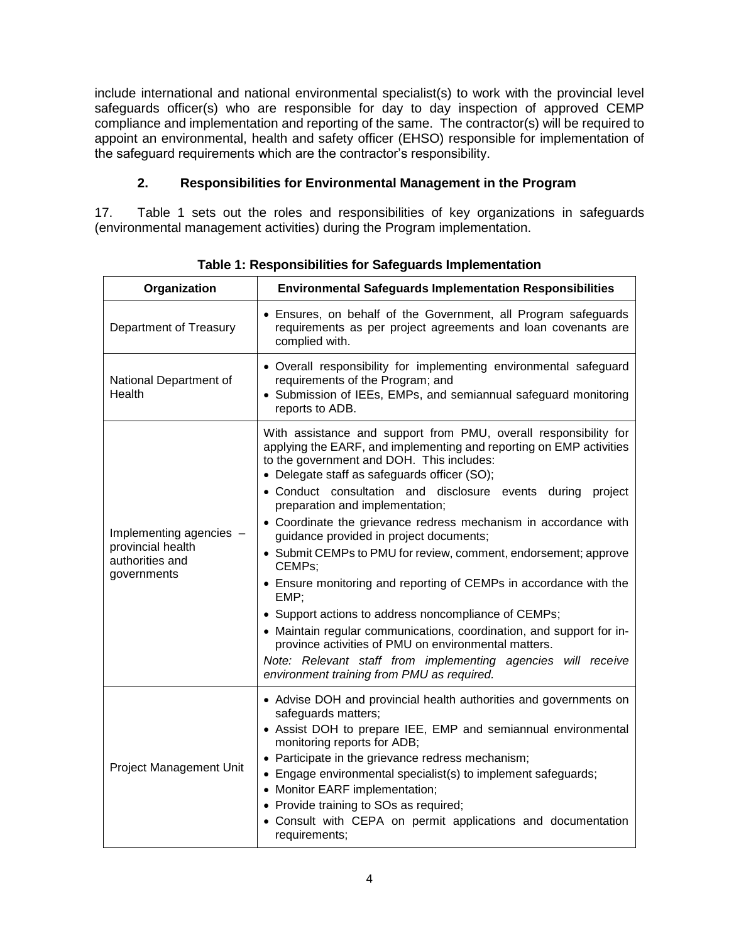include international and national environmental specialist(s) to work with the provincial level safeguards officer(s) who are responsible for day to day inspection of approved CEMP compliance and implementation and reporting of the same. The contractor(s) will be required to appoint an environmental, health and safety officer (EHSO) responsible for implementation of the safeguard requirements which are the contractor's responsibility.

## **2. Responsibilities for Environmental Management in the Program**

17. Table 1 sets out the roles and responsibilities of key organizations in safeguards (environmental management activities) during the Program implementation.

| Organization                                                                                                                                                                                                                                                                                                                                                                                                                                                                                           | <b>Environmental Safeguards Implementation Responsibilities</b>                                                                                                                                                                                                                                                                                                                                                                                                                                                                                                                                                                                                                                                                                                                                                                                                                                                            |  |  |
|--------------------------------------------------------------------------------------------------------------------------------------------------------------------------------------------------------------------------------------------------------------------------------------------------------------------------------------------------------------------------------------------------------------------------------------------------------------------------------------------------------|----------------------------------------------------------------------------------------------------------------------------------------------------------------------------------------------------------------------------------------------------------------------------------------------------------------------------------------------------------------------------------------------------------------------------------------------------------------------------------------------------------------------------------------------------------------------------------------------------------------------------------------------------------------------------------------------------------------------------------------------------------------------------------------------------------------------------------------------------------------------------------------------------------------------------|--|--|
| Department of Treasury                                                                                                                                                                                                                                                                                                                                                                                                                                                                                 | • Ensures, on behalf of the Government, all Program safeguards<br>requirements as per project agreements and loan covenants are<br>complied with.                                                                                                                                                                                                                                                                                                                                                                                                                                                                                                                                                                                                                                                                                                                                                                          |  |  |
| National Department of<br>Health                                                                                                                                                                                                                                                                                                                                                                                                                                                                       | • Overall responsibility for implementing environmental safeguard<br>requirements of the Program; and<br>• Submission of IEEs, EMPs, and semiannual safeguard monitoring<br>reports to ADB.                                                                                                                                                                                                                                                                                                                                                                                                                                                                                                                                                                                                                                                                                                                                |  |  |
| Implementing agencies -<br>provincial health<br>authorities and<br>governments                                                                                                                                                                                                                                                                                                                                                                                                                         | With assistance and support from PMU, overall responsibility for<br>applying the EARF, and implementing and reporting on EMP activities<br>to the government and DOH. This includes:<br>• Delegate staff as safeguards officer (SO);<br>• Conduct consultation and disclosure events<br>during<br>project<br>preparation and implementation;<br>• Coordinate the grievance redress mechanism in accordance with<br>guidance provided in project documents;<br>• Submit CEMPs to PMU for review, comment, endorsement; approve<br>CEMPs;<br>• Ensure monitoring and reporting of CEMPs in accordance with the<br>EMP;<br>• Support actions to address noncompliance of CEMPs;<br>• Maintain regular communications, coordination, and support for in-<br>province activities of PMU on environmental matters.<br>Note: Relevant staff from implementing agencies will receive<br>environment training from PMU as required. |  |  |
| • Advise DOH and provincial health authorities and governments on<br>safeguards matters;<br>• Assist DOH to prepare IEE, EMP and semiannual environmental<br>monitoring reports for ADB;<br>• Participate in the grievance redress mechanism;<br>Project Management Unit<br>• Engage environmental specialist(s) to implement safeguards;<br>• Monitor EARF implementation;<br>• Provide training to SOs as required;<br>• Consult with CEPA on permit applications and documentation<br>requirements; |                                                                                                                                                                                                                                                                                                                                                                                                                                                                                                                                                                                                                                                                                                                                                                                                                                                                                                                            |  |  |

**Table 1: Responsibilities for Safeguards Implementation**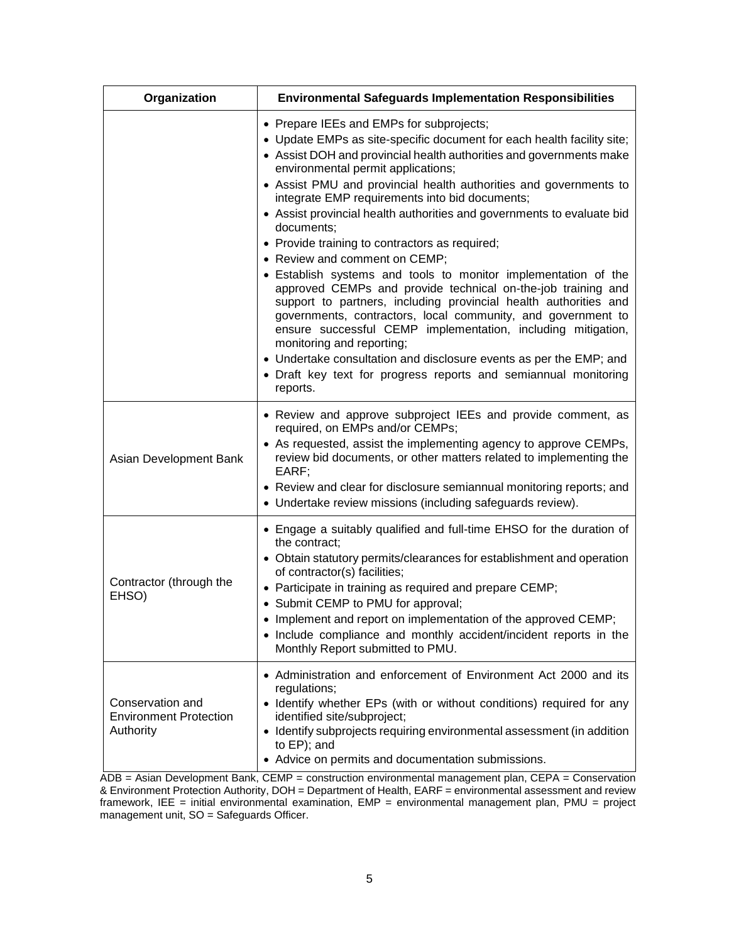| Organization                                                   | <b>Environmental Safeguards Implementation Responsibilities</b>                                                                                                                                                                                                                                                                                                                                                                                                                                                                                                                                                                                                                                                                                                                                                                                                                                                                                                                                                                                           |
|----------------------------------------------------------------|-----------------------------------------------------------------------------------------------------------------------------------------------------------------------------------------------------------------------------------------------------------------------------------------------------------------------------------------------------------------------------------------------------------------------------------------------------------------------------------------------------------------------------------------------------------------------------------------------------------------------------------------------------------------------------------------------------------------------------------------------------------------------------------------------------------------------------------------------------------------------------------------------------------------------------------------------------------------------------------------------------------------------------------------------------------|
|                                                                | • Prepare IEEs and EMPs for subprojects;<br>• Update EMPs as site-specific document for each health facility site;<br>• Assist DOH and provincial health authorities and governments make<br>environmental permit applications;<br>• Assist PMU and provincial health authorities and governments to<br>integrate EMP requirements into bid documents;<br>• Assist provincial health authorities and governments to evaluate bid<br>documents:<br>• Provide training to contractors as required;<br>• Review and comment on CEMP;<br>• Establish systems and tools to monitor implementation of the<br>approved CEMPs and provide technical on-the-job training and<br>support to partners, including provincial health authorities and<br>governments, contractors, local community, and government to<br>ensure successful CEMP implementation, including mitigation,<br>monitoring and reporting;<br>• Undertake consultation and disclosure events as per the EMP; and<br>• Draft key text for progress reports and semiannual monitoring<br>reports. |
| Asian Development Bank                                         | • Review and approve subproject IEEs and provide comment, as<br>required, on EMPs and/or CEMPs;<br>• As requested, assist the implementing agency to approve CEMPs,<br>review bid documents, or other matters related to implementing the<br>EARF;<br>• Review and clear for disclosure semiannual monitoring reports; and<br>• Undertake review missions (including safeguards review).                                                                                                                                                                                                                                                                                                                                                                                                                                                                                                                                                                                                                                                                  |
| Contractor (through the<br>EHSO)                               | • Engage a suitably qualified and full-time EHSO for the duration of<br>the contract;<br>• Obtain statutory permits/clearances for establishment and operation<br>of contractor(s) facilities;<br>• Participate in training as required and prepare CEMP;<br>• Submit CEMP to PMU for approval;<br>Implement and report on implementation of the approved CEMP;<br>• Include compliance and monthly accident/incident reports in the<br>Monthly Report submitted to PMU.                                                                                                                                                                                                                                                                                                                                                                                                                                                                                                                                                                                  |
| Conservation and<br><b>Environment Protection</b><br>Authority | • Administration and enforcement of Environment Act 2000 and its<br>regulations;<br>• Identify whether EPs (with or without conditions) required for any<br>identified site/subproject;<br>• Identify subprojects requiring environmental assessment (in addition<br>to EP); and<br>• Advice on permits and documentation submissions.                                                                                                                                                                                                                                                                                                                                                                                                                                                                                                                                                                                                                                                                                                                    |

ADB = Asian Development Bank, CEMP = construction environmental management plan, CEPA = Conservation & Environment Protection Authority, DOH = Department of Health, EARF = environmental assessment and review framework, IEE = initial environmental examination, EMP = environmental management plan, PMU = project management unit, SO = Safeguards Officer.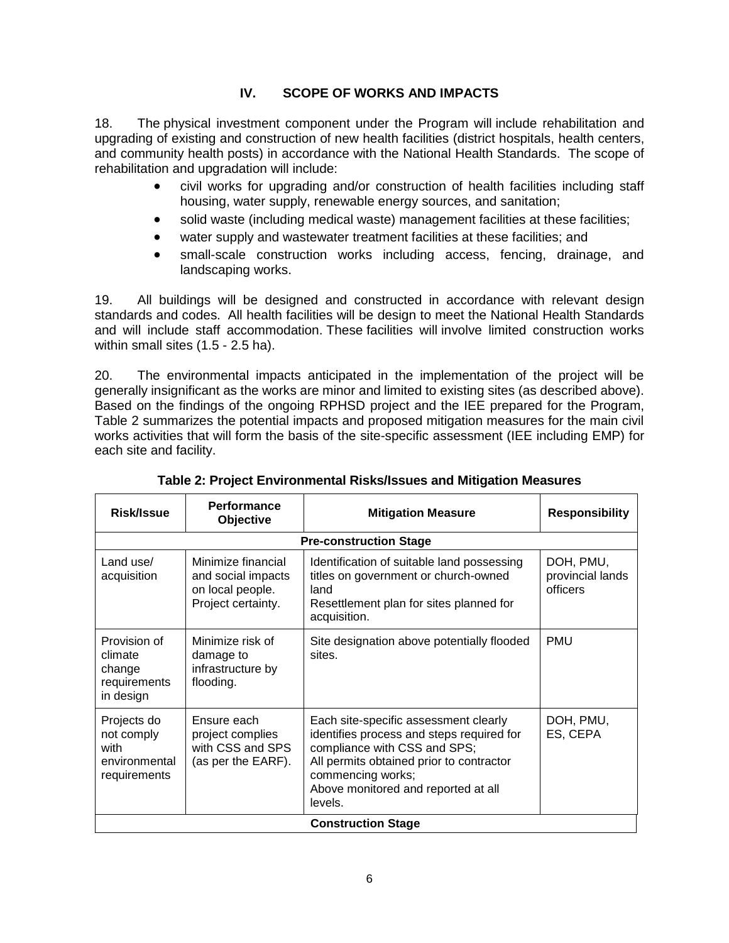## **IV. SCOPE OF WORKS AND IMPACTS**

18. The physical investment component under the Program will include rehabilitation and upgrading of existing and construction of new health facilities (district hospitals, health centers, and community health posts) in accordance with the National Health Standards. The scope of rehabilitation and upgradation will include:

- civil works for upgrading and/or construction of health facilities including staff housing, water supply, renewable energy sources, and sanitation;
- solid waste (including medical waste) management facilities at these facilities;
- water supply and wastewater treatment facilities at these facilities; and
- small-scale construction works including access, fencing, drainage, and landscaping works.

19. All buildings will be designed and constructed in accordance with relevant design standards and codes. All health facilities will be design to meet the National Health Standards and will include staff accommodation. These facilities will involve limited construction works within small sites (1.5 - 2.5 ha).

20. The environmental impacts anticipated in the implementation of the project will be generally insignificant as the works are minor and limited to existing sites (as described above). Based on the findings of the ongoing RPHSD project and the IEE prepared for the Program, Table 2 summarizes the potential impacts and proposed mitigation measures for the main civil works activities that will form the basis of the site-specific assessment (IEE including EMP) for each site and facility.

| <b>Performance</b><br>Risk/Issue<br>Objective                                                                  |                                                                           | <b>Mitigation Measure</b>                                                                                                                                                                                                             | <b>Responsibility</b>                     |  |  |  |
|----------------------------------------------------------------------------------------------------------------|---------------------------------------------------------------------------|---------------------------------------------------------------------------------------------------------------------------------------------------------------------------------------------------------------------------------------|-------------------------------------------|--|--|--|
|                                                                                                                |                                                                           | <b>Pre-construction Stage</b>                                                                                                                                                                                                         |                                           |  |  |  |
| Land use/<br>Minimize financial<br>acquisition<br>and social impacts<br>on local people.<br>Project certainty. |                                                                           | Identification of suitable land possessing<br>titles on government or church-owned<br>land<br>Resettlement plan for sites planned for<br>acquisition.                                                                                 | DOH, PMU,<br>provincial lands<br>officers |  |  |  |
| Provision of<br>climate<br>change<br>requirements<br>in design                                                 | Minimize risk of<br>damage to<br>infrastructure by<br>flooding.           | Site designation above potentially flooded<br>sites.                                                                                                                                                                                  | <b>PMU</b>                                |  |  |  |
| Projects do<br>not comply<br>with<br>environmental<br>requirements                                             | Ensure each<br>project complies<br>with CSS and SPS<br>(as per the EARF). | Each site-specific assessment clearly<br>identifies process and steps required for<br>compliance with CSS and SPS;<br>All permits obtained prior to contractor<br>commencing works;<br>Above monitored and reported at all<br>levels. | DOH, PMU,<br>ES, CEPA                     |  |  |  |
|                                                                                                                | <b>Construction Stage</b>                                                 |                                                                                                                                                                                                                                       |                                           |  |  |  |

## **Table 2: Project Environmental Risks/Issues and Mitigation Measures**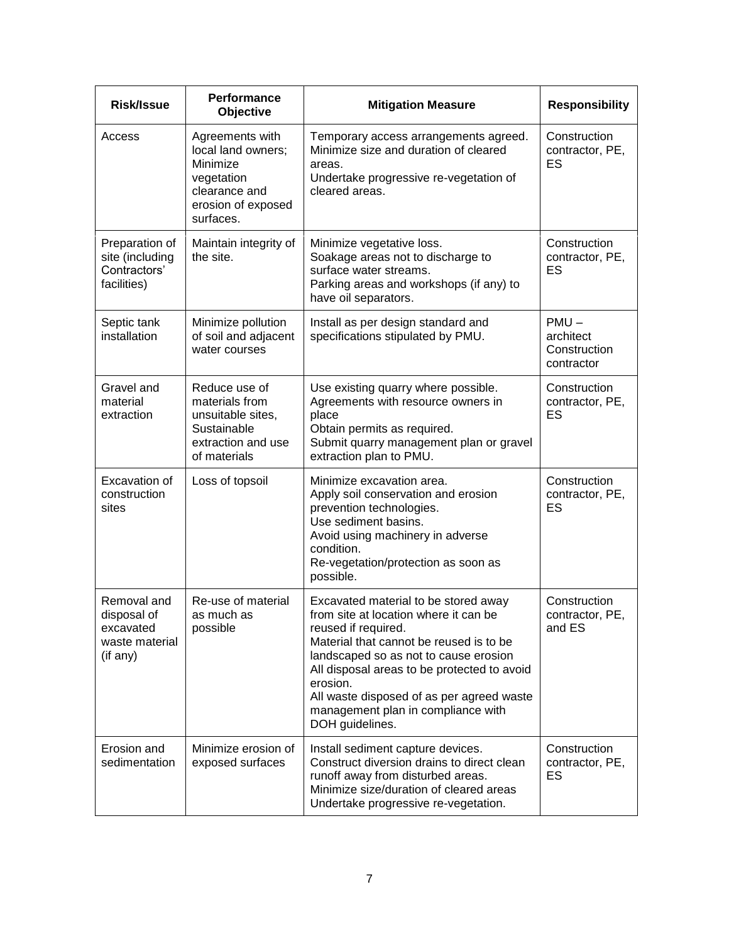| <b>Risk/Issue</b>                                                     | <b>Performance</b><br>Objective                                                                                     | <b>Mitigation Measure</b>                                                                                                                                                                                                                                                                                                                                 | <b>Responsibility</b>                              |
|-----------------------------------------------------------------------|---------------------------------------------------------------------------------------------------------------------|-----------------------------------------------------------------------------------------------------------------------------------------------------------------------------------------------------------------------------------------------------------------------------------------------------------------------------------------------------------|----------------------------------------------------|
| Access                                                                | Agreements with<br>local land owners;<br>Minimize<br>vegetation<br>clearance and<br>erosion of exposed<br>surfaces. | Temporary access arrangements agreed.<br>Minimize size and duration of cleared<br>areas.<br>Undertake progressive re-vegetation of<br>cleared areas.                                                                                                                                                                                                      | Construction<br>contractor, PE,<br>ES              |
| Preparation of<br>site (including<br>Contractors'<br>facilities)      | Maintain integrity of<br>the site.                                                                                  | Minimize vegetative loss.<br>Soakage areas not to discharge to<br>surface water streams.<br>Parking areas and workshops (if any) to<br>have oil separators.                                                                                                                                                                                               | Construction<br>contractor, PE,<br>ES              |
| Septic tank<br>installation                                           | Minimize pollution<br>of soil and adjacent<br>water courses                                                         | Install as per design standard and<br>specifications stipulated by PMU.                                                                                                                                                                                                                                                                                   | $PMU -$<br>architect<br>Construction<br>contractor |
| Gravel and<br>material<br>extraction                                  | Reduce use of<br>materials from<br>unsuitable sites,<br>Sustainable<br>extraction and use<br>of materials           | Use existing quarry where possible.<br>Agreements with resource owners in<br>place<br>Obtain permits as required.<br>Submit quarry management plan or gravel<br>extraction plan to PMU.                                                                                                                                                                   | Construction<br>contractor, PE,<br>ES              |
| Excavation of<br>construction<br>sites                                | Loss of topsoil                                                                                                     | Minimize excavation area.<br>Apply soil conservation and erosion<br>prevention technologies.<br>Use sediment basins.<br>Avoid using machinery in adverse<br>condition.<br>Re-vegetation/protection as soon as<br>possible.                                                                                                                                | Construction<br>contractor, PE,<br>ES              |
| Removal and<br>disposal of<br>excavated<br>waste material<br>(if any) | Re-use of material<br>as much as<br>possible                                                                        | Excavated material to be stored away<br>from site at location where it can be<br>reused if required.<br>Material that cannot be reused is to be<br>landscaped so as not to cause erosion<br>All disposal areas to be protected to avoid<br>erosion.<br>All waste disposed of as per agreed waste<br>management plan in compliance with<br>DOH guidelines. | Construction<br>contractor, PE,<br>and ES          |
| Erosion and<br>sedimentation                                          | Minimize erosion of<br>exposed surfaces                                                                             | Install sediment capture devices.<br>Construct diversion drains to direct clean<br>runoff away from disturbed areas.<br>Minimize size/duration of cleared areas<br>Undertake progressive re-vegetation.                                                                                                                                                   | Construction<br>contractor, PE,<br>ES              |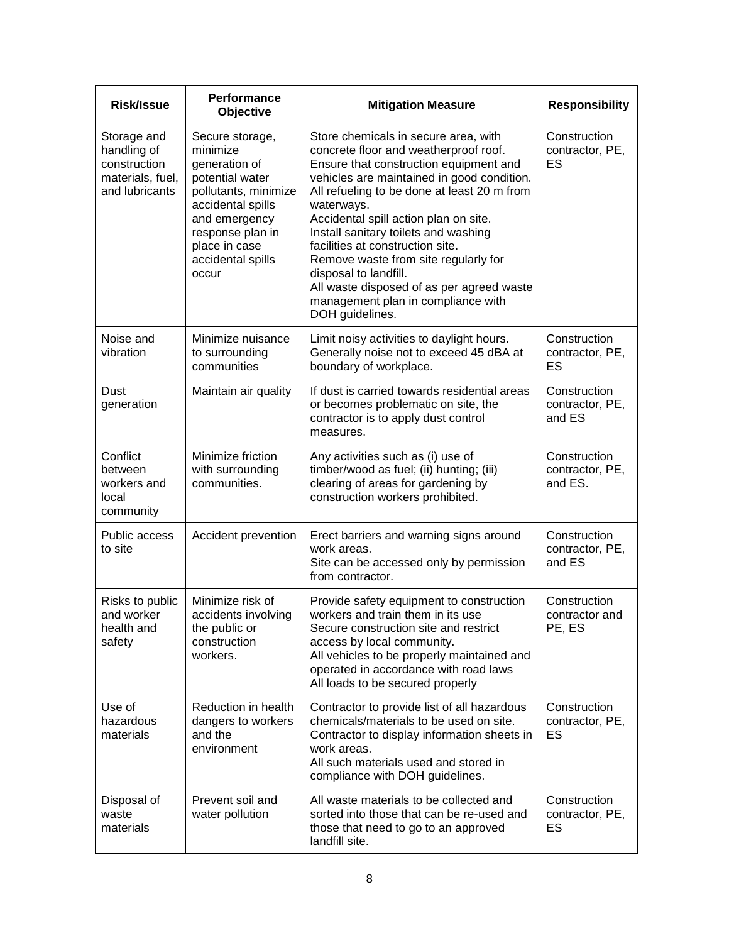| <b>Risk/Issue</b>                                                                | <b>Performance</b><br>Objective                                                                                                                                                                  | <b>Mitigation Measure</b>                                                                                                                                                                                                                                                                                                                                                                                                                                                                                                      | <b>Responsibility</b>                      |
|----------------------------------------------------------------------------------|--------------------------------------------------------------------------------------------------------------------------------------------------------------------------------------------------|--------------------------------------------------------------------------------------------------------------------------------------------------------------------------------------------------------------------------------------------------------------------------------------------------------------------------------------------------------------------------------------------------------------------------------------------------------------------------------------------------------------------------------|--------------------------------------------|
| Storage and<br>handling of<br>construction<br>materials, fuel,<br>and lubricants | Secure storage,<br>minimize<br>generation of<br>potential water<br>pollutants, minimize<br>accidental spills<br>and emergency<br>response plan in<br>place in case<br>accidental spills<br>occur | Store chemicals in secure area, with<br>concrete floor and weatherproof roof.<br>Ensure that construction equipment and<br>vehicles are maintained in good condition.<br>All refueling to be done at least 20 m from<br>waterways.<br>Accidental spill action plan on site.<br>Install sanitary toilets and washing<br>facilities at construction site.<br>Remove waste from site regularly for<br>disposal to landfill.<br>All waste disposed of as per agreed waste<br>management plan in compliance with<br>DOH guidelines. | Construction<br>contractor, PE,<br>ES      |
| Noise and<br>vibration                                                           | Minimize nuisance<br>to surrounding<br>communities                                                                                                                                               | Limit noisy activities to daylight hours.<br>Generally noise not to exceed 45 dBA at<br>boundary of workplace.                                                                                                                                                                                                                                                                                                                                                                                                                 | Construction<br>contractor, PE,<br>ES      |
| Dust<br>generation                                                               | Maintain air quality                                                                                                                                                                             | If dust is carried towards residential areas<br>or becomes problematic on site, the<br>contractor is to apply dust control<br>measures.                                                                                                                                                                                                                                                                                                                                                                                        | Construction<br>contractor, PE,<br>and ES  |
| Conflict<br>between<br>workers and<br>local<br>community                         | Minimize friction<br>with surrounding<br>communities.                                                                                                                                            | Any activities such as (i) use of<br>timber/wood as fuel; (ii) hunting; (iii)<br>clearing of areas for gardening by<br>construction workers prohibited.                                                                                                                                                                                                                                                                                                                                                                        | Construction<br>contractor, PE,<br>and ES. |
| Public access<br>to site                                                         | Accident prevention                                                                                                                                                                              | Erect barriers and warning signs around<br>work areas.<br>Site can be accessed only by permission<br>from contractor.                                                                                                                                                                                                                                                                                                                                                                                                          | Construction<br>contractor, PE,<br>and ES  |
| Risks to public<br>and worker<br>health and<br>safety                            | Minimize risk of<br>accidents involving<br>the public or<br>construction<br>workers.                                                                                                             | Provide safety equipment to construction<br>workers and train them in its use<br>Secure construction site and restrict<br>access by local community.<br>All vehicles to be properly maintained and<br>operated in accordance with road laws<br>All loads to be secured properly                                                                                                                                                                                                                                                | Construction<br>contractor and<br>PE, ES   |
| Use of<br>hazardous<br>materials                                                 | Reduction in health<br>dangers to workers<br>and the<br>environment                                                                                                                              | Contractor to provide list of all hazardous<br>chemicals/materials to be used on site.<br>Contractor to display information sheets in<br>work areas.<br>All such materials used and stored in<br>compliance with DOH guidelines.                                                                                                                                                                                                                                                                                               | Construction<br>contractor, PE,<br>ES      |
| Disposal of<br>waste<br>materials                                                | Prevent soil and<br>water pollution                                                                                                                                                              | All waste materials to be collected and<br>sorted into those that can be re-used and<br>those that need to go to an approved<br>landfill site.                                                                                                                                                                                                                                                                                                                                                                                 | Construction<br>contractor, PE,<br>ES      |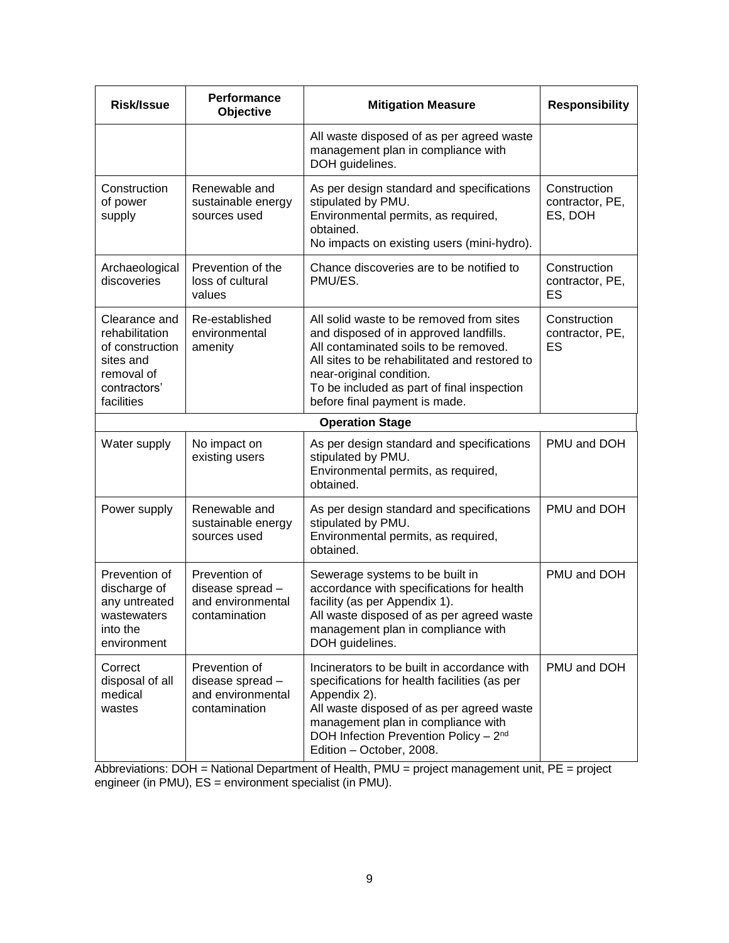| <b>Risk/Issue</b>                                                                                           | Performance<br>Objective                                                                                                                                                                                                 | <b>Mitigation Measure</b>                                                                                                                                                                                                                                                               | <b>Responsibility</b>                      |
|-------------------------------------------------------------------------------------------------------------|--------------------------------------------------------------------------------------------------------------------------------------------------------------------------------------------------------------------------|-----------------------------------------------------------------------------------------------------------------------------------------------------------------------------------------------------------------------------------------------------------------------------------------|--------------------------------------------|
|                                                                                                             |                                                                                                                                                                                                                          | All waste disposed of as per agreed waste<br>management plan in compliance with<br>DOH guidelines.                                                                                                                                                                                      |                                            |
| Construction<br>of power<br>supply                                                                          | Renewable and<br>As per design standard and specifications<br>stipulated by PMU.<br>sustainable energy<br>Environmental permits, as required,<br>sources used<br>obtained.<br>No impacts on existing users (mini-hydro). |                                                                                                                                                                                                                                                                                         | Construction<br>contractor, PE,<br>ES, DOH |
| Archaeological<br>discoveries                                                                               | Prevention of the<br>loss of cultural<br>values                                                                                                                                                                          | Chance discoveries are to be notified to<br>PMU/ES.                                                                                                                                                                                                                                     | Construction<br>contractor, PE,<br>ES      |
| Clearance and<br>rehabilitation<br>of construction<br>sites and<br>removal of<br>contractors'<br>facilities | Re-established<br>environmental<br>amenity                                                                                                                                                                               | All solid waste to be removed from sites<br>and disposed of in approved landfills.<br>All contaminated soils to be removed.<br>All sites to be rehabilitated and restored to<br>near-original condition.<br>To be included as part of final inspection<br>before final payment is made. | Construction<br>contractor, PE,<br>ES      |
|                                                                                                             |                                                                                                                                                                                                                          | <b>Operation Stage</b>                                                                                                                                                                                                                                                                  |                                            |
| Water supply                                                                                                | No impact on<br>As per design standard and specifications<br>stipulated by PMU.<br>existing users<br>Environmental permits, as required,<br>obtained.                                                                    |                                                                                                                                                                                                                                                                                         | PMU and DOH                                |
| Power supply                                                                                                | Renewable and<br>sustainable energy<br>sources used                                                                                                                                                                      | As per design standard and specifications<br>stipulated by PMU.<br>Environmental permits, as required,<br>obtained.                                                                                                                                                                     | PMU and DOH                                |
| Prevention of<br>discharge of<br>any untreated<br>wastewaters<br>into the<br>environment                    | Prevention of<br>disease spread -<br>and environmental<br>contamination                                                                                                                                                  | Sewerage systems to be built in<br>accordance with specifications for health<br>facility (as per Appendix 1).<br>All waste disposed of as per agreed waste<br>management plan in compliance with<br>DOH guidelines.                                                                     | PMU and DOH                                |
| Correct<br>disposal of all<br>medical<br>wastes                                                             | Prevention of<br>disease spread -<br>and environmental<br>contamination                                                                                                                                                  | Incinerators to be built in accordance with<br>specifications for health facilities (as per<br>Appendix 2).<br>All waste disposed of as per agreed waste<br>management plan in compliance with<br>DOH Infection Prevention Policy - 2 <sup>nd</sup><br>Edition - October, 2008.         | PMU and DOH                                |

Abbreviations: DOH = National Department of Health, PMU = project management unit, PE = project engineer (in PMU), ES = environment specialist (in PMU).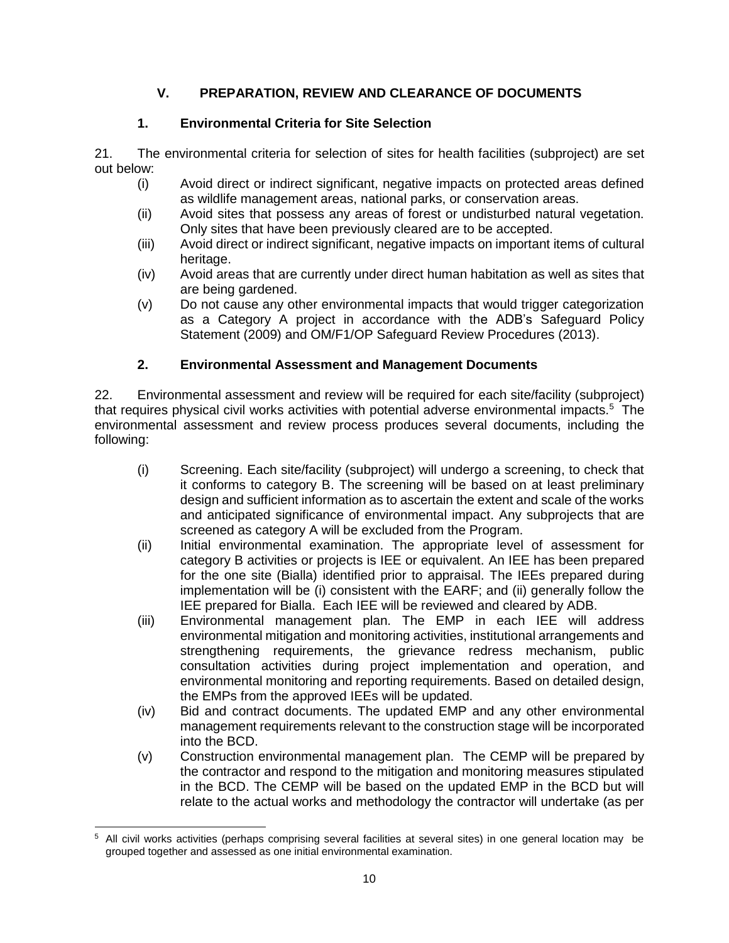## **V. PREPARATION, REVIEW AND CLEARANCE OF DOCUMENTS**

## **1. Environmental Criteria for Site Selection**

21. The environmental criteria for selection of sites for health facilities (subproject) are set out below:

- (i) Avoid direct or indirect significant, negative impacts on protected areas defined as wildlife management areas, national parks, or conservation areas.
- (ii) Avoid sites that possess any areas of forest or undisturbed natural vegetation. Only sites that have been previously cleared are to be accepted.
- (iii) Avoid direct or indirect significant, negative impacts on important items of cultural heritage.
- (iv) Avoid areas that are currently under direct human habitation as well as sites that are being gardened.
- (v) Do not cause any other environmental impacts that would trigger categorization as a Category A project in accordance with the ADB's Safeguard Policy Statement (2009) and OM/F1/OP Safeguard Review Procedures (2013).

## **2. Environmental Assessment and Management Documents**

22. Environmental assessment and review will be required for each site/facility (subproject) that requires physical civil works activities with potential adverse environmental impacts.<sup>5</sup> The environmental assessment and review process produces several documents, including the following:

- (i) Screening. Each site/facility (subproject) will undergo a screening, to check that it conforms to category B. The screening will be based on at least preliminary design and sufficient information as to ascertain the extent and scale of the works and anticipated significance of environmental impact. Any subprojects that are screened as category A will be excluded from the Program.
- (ii) Initial environmental examination. The appropriate level of assessment for category B activities or projects is IEE or equivalent. An IEE has been prepared for the one site (Bialla) identified prior to appraisal. The IEEs prepared during implementation will be (i) consistent with the EARF; and (ii) generally follow the IEE prepared for Bialla. Each IEE will be reviewed and cleared by ADB.
- (iii) Environmental management plan. The EMP in each IEE will address environmental mitigation and monitoring activities, institutional arrangements and strengthening requirements, the grievance redress mechanism, public consultation activities during project implementation and operation, and environmental monitoring and reporting requirements. Based on detailed design, the EMPs from the approved IEEs will be updated.
- (iv) Bid and contract documents. The updated EMP and any other environmental management requirements relevant to the construction stage will be incorporated into the BCD.
- (v) Construction environmental management plan. The CEMP will be prepared by the contractor and respond to the mitigation and monitoring measures stipulated in the BCD. The CEMP will be based on the updated EMP in the BCD but will relate to the actual works and methodology the contractor will undertake (as per

 $\overline{a}$ 

<sup>5</sup> All civil works activities (perhaps comprising several facilities at several sites) in one general location may be grouped together and assessed as one initial environmental examination.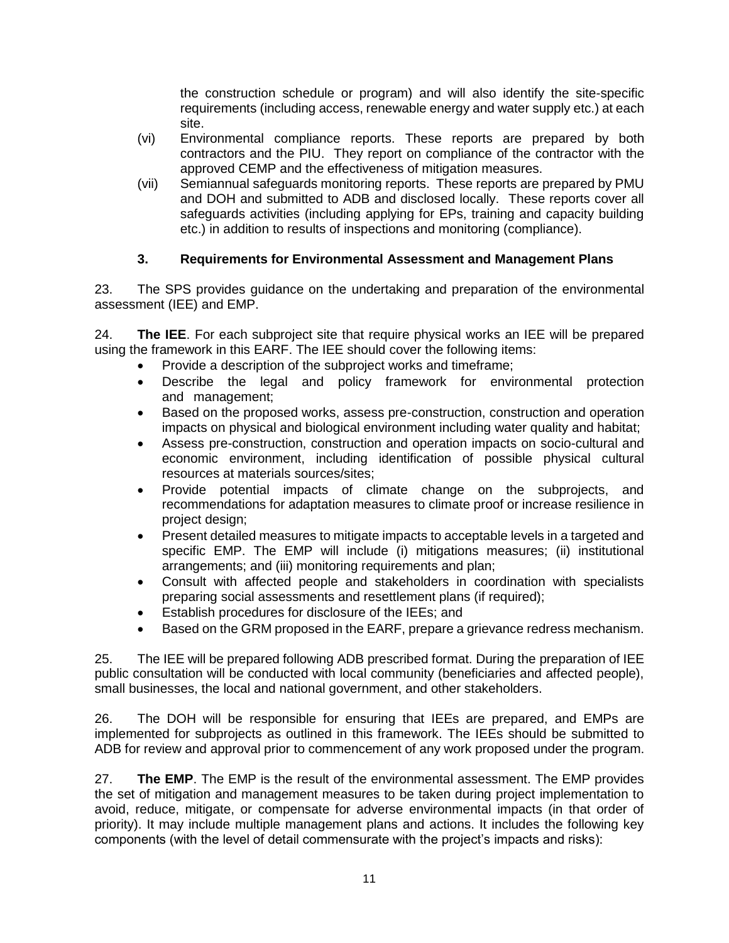the construction schedule or program) and will also identify the site-specific requirements (including access, renewable energy and water supply etc.) at each site.

- (vi) Environmental compliance reports. These reports are prepared by both contractors and the PIU. They report on compliance of the contractor with the approved CEMP and the effectiveness of mitigation measures.
- (vii) Semiannual safeguards monitoring reports. These reports are prepared by PMU and DOH and submitted to ADB and disclosed locally. These reports cover all safeguards activities (including applying for EPs, training and capacity building etc.) in addition to results of inspections and monitoring (compliance).

## **3. Requirements for Environmental Assessment and Management Plans**

23. The SPS provides guidance on the undertaking and preparation of the environmental assessment (IEE) and EMP.

24. **The IEE**. For each subproject site that require physical works an IEE will be prepared using the framework in this EARF. The IEE should cover the following items:

- Provide a description of the subproject works and timeframe;
- Describe the legal and policy framework for environmental protection and management;
- Based on the proposed works, assess pre-construction, construction and operation impacts on physical and biological environment including water quality and habitat;
- Assess pre-construction, construction and operation impacts on socio-cultural and economic environment, including identification of possible physical cultural resources at materials sources/sites;
- Provide potential impacts of climate change on the subprojects, and recommendations for adaptation measures to climate proof or increase resilience in project design;
- Present detailed measures to mitigate impacts to acceptable levels in a targeted and specific EMP. The EMP will include (i) mitigations measures; (ii) institutional arrangements; and (iii) monitoring requirements and plan;
- Consult with affected people and stakeholders in coordination with specialists preparing social assessments and resettlement plans (if required);
- Establish procedures for disclosure of the IEEs; and
- Based on the GRM proposed in the EARF, prepare a grievance redress mechanism.

25. The IEE will be prepared following ADB prescribed format. During the preparation of IEE public consultation will be conducted with local community (beneficiaries and affected people), small businesses, the local and national government, and other stakeholders.

26. The DOH will be responsible for ensuring that IEEs are prepared, and EMPs are implemented for subprojects as outlined in this framework. The IEEs should be submitted to ADB for review and approval prior to commencement of any work proposed under the program.

27. **The EMP**. The EMP is the result of the environmental assessment. The EMP provides the set of mitigation and management measures to be taken during project implementation to avoid, reduce, mitigate, or compensate for adverse environmental impacts (in that order of priority). It may include multiple management plans and actions. It includes the following key components (with the level of detail commensurate with the project's impacts and risks):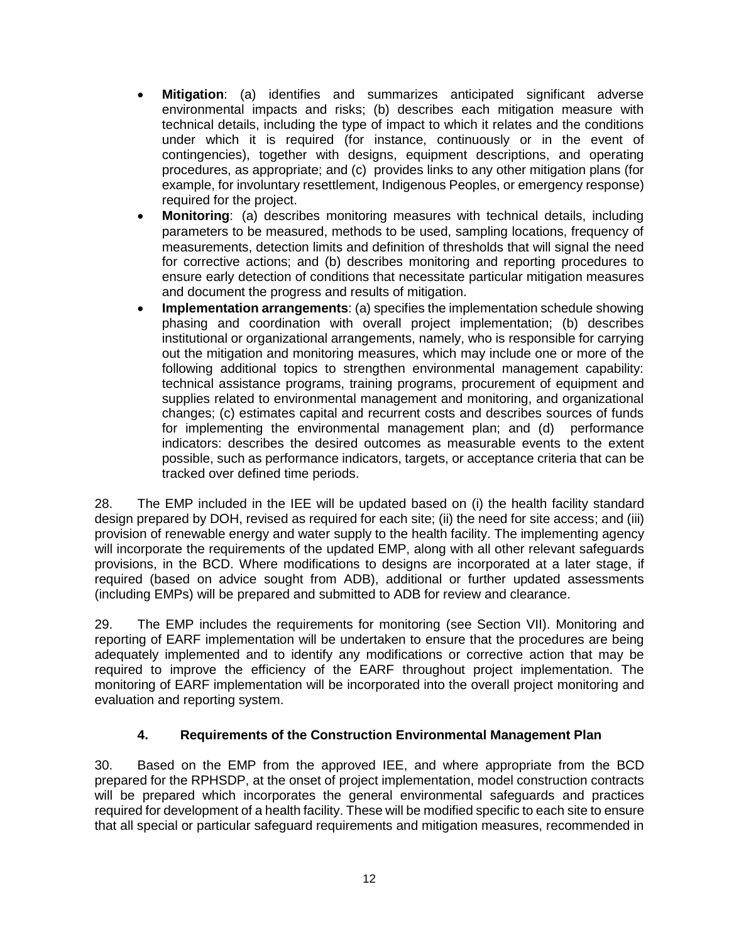- **Mitigation**: (a) identifies and summarizes anticipated significant adverse environmental impacts and risks; (b) describes each mitigation measure with technical details, including the type of impact to which it relates and the conditions under which it is required (for instance, continuously or in the event of contingencies), together with designs, equipment descriptions, and operating procedures, as appropriate; and (c) provides links to any other mitigation plans (for example, for involuntary resettlement, Indigenous Peoples, or emergency response) required for the project.
- **Monitoring**: (a) describes monitoring measures with technical details, including parameters to be measured, methods to be used, sampling locations, frequency of measurements, detection limits and definition of thresholds that will signal the need for corrective actions; and (b) describes monitoring and reporting procedures to ensure early detection of conditions that necessitate particular mitigation measures and document the progress and results of mitigation.
- **Implementation arrangements**: (a) specifies the implementation schedule showing phasing and coordination with overall project implementation; (b) describes institutional or organizational arrangements, namely, who is responsible for carrying out the mitigation and monitoring measures, which may include one or more of the following additional topics to strengthen environmental management capability: technical assistance programs, training programs, procurement of equipment and supplies related to environmental management and monitoring, and organizational changes; (c) estimates capital and recurrent costs and describes sources of funds for implementing the environmental management plan; and (d) performance indicators: describes the desired outcomes as measurable events to the extent possible, such as performance indicators, targets, or acceptance criteria that can be tracked over defined time periods.

28. The EMP included in the IEE will be updated based on (i) the health facility standard design prepared by DOH, revised as required for each site; (ii) the need for site access; and (iii) provision of renewable energy and water supply to the health facility. The implementing agency will incorporate the requirements of the updated EMP, along with all other relevant safeguards provisions, in the BCD. Where modifications to designs are incorporated at a later stage, if required (based on advice sought from ADB), additional or further updated assessments (including EMPs) will be prepared and submitted to ADB for review and clearance.

29. The EMP includes the requirements for monitoring (see Section VII). Monitoring and reporting of EARF implementation will be undertaken to ensure that the procedures are being adequately implemented and to identify any modifications or corrective action that may be required to improve the efficiency of the EARF throughout project implementation. The monitoring of EARF implementation will be incorporated into the overall project monitoring and evaluation and reporting system.

### **4. Requirements of the Construction Environmental Management Plan**

30. Based on the EMP from the approved IEE, and where appropriate from the BCD prepared for the RPHSDP, at the onset of project implementation, model construction contracts will be prepared which incorporates the general environmental safeguards and practices required for development of a health facility. These will be modified specific to each site to ensure that all special or particular safeguard requirements and mitigation measures, recommended in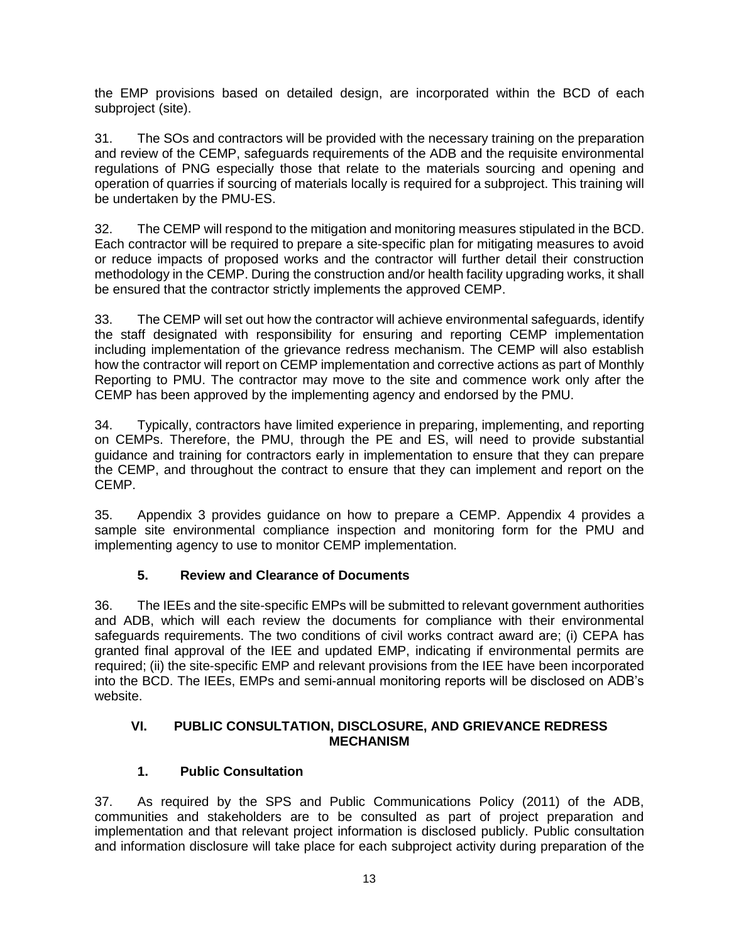the EMP provisions based on detailed design, are incorporated within the BCD of each subproject (site).

31. The SOs and contractors will be provided with the necessary training on the preparation and review of the CEMP, safeguards requirements of the ADB and the requisite environmental regulations of PNG especially those that relate to the materials sourcing and opening and operation of quarries if sourcing of materials locally is required for a subproject. This training will be undertaken by the PMU-ES.

32. The CEMP will respond to the mitigation and monitoring measures stipulated in the BCD. Each contractor will be required to prepare a site-specific plan for mitigating measures to avoid or reduce impacts of proposed works and the contractor will further detail their construction methodology in the CEMP. During the construction and/or health facility upgrading works, it shall be ensured that the contractor strictly implements the approved CEMP.

33. The CEMP will set out how the contractor will achieve environmental safeguards, identify the staff designated with responsibility for ensuring and reporting CEMP implementation including implementation of the grievance redress mechanism. The CEMP will also establish how the contractor will report on CEMP implementation and corrective actions as part of Monthly Reporting to PMU. The contractor may move to the site and commence work only after the CEMP has been approved by the implementing agency and endorsed by the PMU.

34. Typically, contractors have limited experience in preparing, implementing, and reporting on CEMPs. Therefore, the PMU, through the PE and ES, will need to provide substantial guidance and training for contractors early in implementation to ensure that they can prepare the CEMP, and throughout the contract to ensure that they can implement and report on the CEMP.

35. Appendix 3 provides guidance on how to prepare a CEMP. Appendix 4 provides a sample site environmental compliance inspection and monitoring form for the PMU and implementing agency to use to monitor CEMP implementation.

# **5. Review and Clearance of Documents**

36. The IEEs and the site-specific EMPs will be submitted to relevant government authorities and ADB, which will each review the documents for compliance with their environmental safeguards requirements. The two conditions of civil works contract award are; (i) CEPA has granted final approval of the IEE and updated EMP, indicating if environmental permits are required; (ii) the site-specific EMP and relevant provisions from the IEE have been incorporated into the BCD. The IEEs, EMPs and semi-annual monitoring reports will be disclosed on ADB's website.

## **VI. PUBLIC CONSULTATION, DISCLOSURE, AND GRIEVANCE REDRESS MECHANISM**

# **1. Public Consultation**

37. As required by the SPS and Public Communications Policy (2011) of the ADB, communities and stakeholders are to be consulted as part of project preparation and implementation and that relevant project information is disclosed publicly. Public consultation and information disclosure will take place for each subproject activity during preparation of the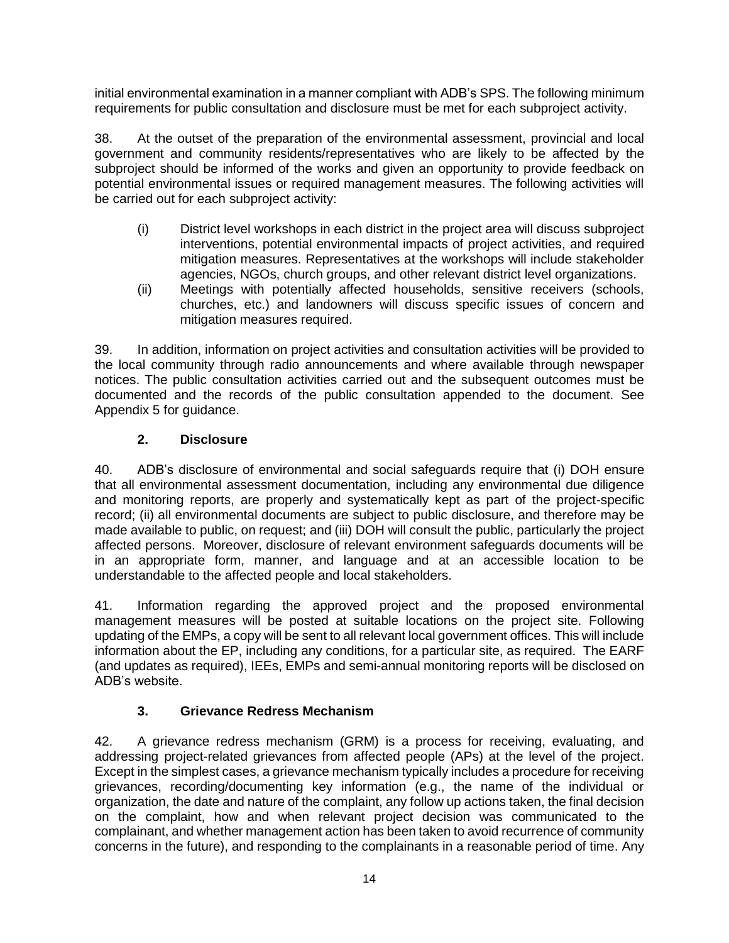initial environmental examination in a manner compliant with ADB's SPS. The following minimum requirements for public consultation and disclosure must be met for each subproject activity.

38. At the outset of the preparation of the environmental assessment, provincial and local government and community residents/representatives who are likely to be affected by the subproject should be informed of the works and given an opportunity to provide feedback on potential environmental issues or required management measures. The following activities will be carried out for each subproject activity:

- (i) District level workshops in each district in the project area will discuss subproject interventions, potential environmental impacts of project activities, and required mitigation measures. Representatives at the workshops will include stakeholder agencies, NGOs, church groups, and other relevant district level organizations.
- (ii) Meetings with potentially affected households, sensitive receivers (schools, churches, etc.) and landowners will discuss specific issues of concern and mitigation measures required.

39. In addition, information on project activities and consultation activities will be provided to the local community through radio announcements and where available through newspaper notices. The public consultation activities carried out and the subsequent outcomes must be documented and the records of the public consultation appended to the document. See Appendix 5 for guidance.

## **2. Disclosure**

40. ADB's disclosure of environmental and social safeguards require that (i) DOH ensure that all environmental assessment documentation, including any environmental due diligence and monitoring reports, are properly and systematically kept as part of the project-specific record; (ii) all environmental documents are subject to public disclosure, and therefore may be made available to public, on request; and (iii) DOH will consult the public, particularly the project affected persons. Moreover, disclosure of relevant environment safeguards documents will be in an appropriate form, manner, and language and at an accessible location to be understandable to the affected people and local stakeholders.

41. Information regarding the approved project and the proposed environmental management measures will be posted at suitable locations on the project site. Following updating of the EMPs, a copy will be sent to all relevant local government offices. This will include information about the EP, including any conditions, for a particular site, as required. The EARF (and updates as required), IEEs, EMPs and semi-annual monitoring reports will be disclosed on ADB's website.

# **3. Grievance Redress Mechanism**

42. A grievance redress mechanism (GRM) is a process for receiving, evaluating, and addressing project-related grievances from affected people (APs) at the level of the project. Except in the simplest cases, a grievance mechanism typically includes a procedure for receiving grievances, recording/documenting key information (e.g., the name of the individual or organization, the date and nature of the complaint, any follow up actions taken, the final decision on the complaint, how and when relevant project decision was communicated to the complainant, and whether management action has been taken to avoid recurrence of community concerns in the future), and responding to the complainants in a reasonable period of time. Any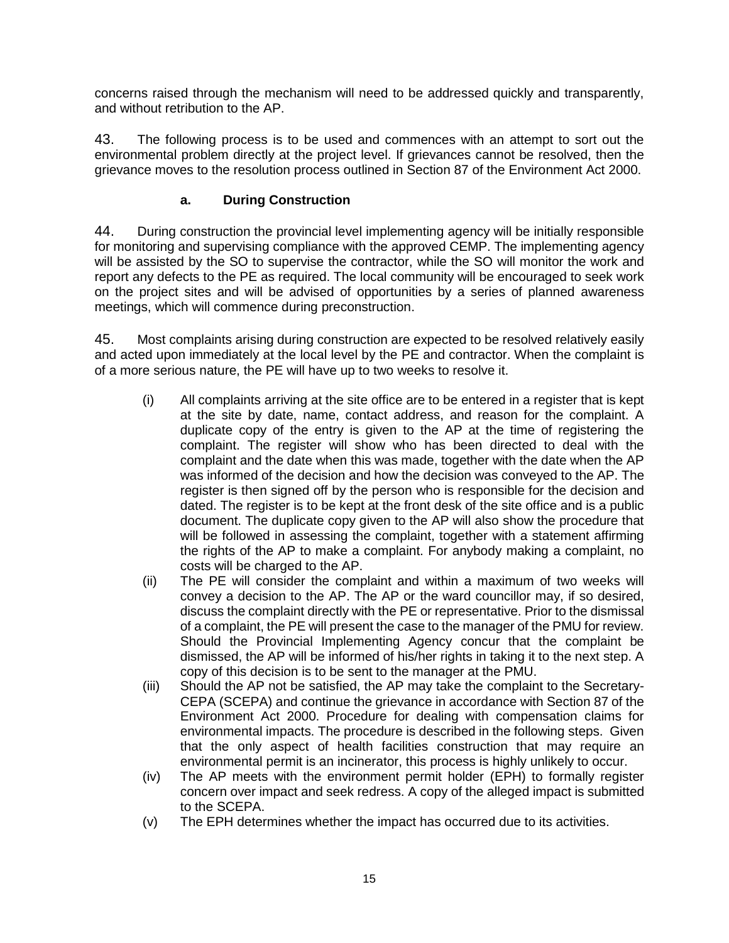concerns raised through the mechanism will need to be addressed quickly and transparently, and without retribution to the AP.

43. The following process is to be used and commences with an attempt to sort out the environmental problem directly at the project level. If grievances cannot be resolved, then the grievance moves to the resolution process outlined in Section 87 of the Environment Act 2000.

## **a. During Construction**

44. During construction the provincial level implementing agency will be initially responsible for monitoring and supervising compliance with the approved CEMP. The implementing agency will be assisted by the SO to supervise the contractor, while the SO will monitor the work and report any defects to the PE as required. The local community will be encouraged to seek work on the project sites and will be advised of opportunities by a series of planned awareness meetings, which will commence during preconstruction.

45. Most complaints arising during construction are expected to be resolved relatively easily and acted upon immediately at the local level by the PE and contractor. When the complaint is of a more serious nature, the PE will have up to two weeks to resolve it.

- (i) All complaints arriving at the site office are to be entered in a register that is kept at the site by date, name, contact address, and reason for the complaint. A duplicate copy of the entry is given to the AP at the time of registering the complaint. The register will show who has been directed to deal with the complaint and the date when this was made, together with the date when the AP was informed of the decision and how the decision was conveyed to the AP. The register is then signed off by the person who is responsible for the decision and dated. The register is to be kept at the front desk of the site office and is a public document. The duplicate copy given to the AP will also show the procedure that will be followed in assessing the complaint, together with a statement affirming the rights of the AP to make a complaint. For anybody making a complaint, no costs will be charged to the AP.
- (ii) The PE will consider the complaint and within a maximum of two weeks will convey a decision to the AP. The AP or the ward councillor may, if so desired, discuss the complaint directly with the PE or representative. Prior to the dismissal of a complaint, the PE will present the case to the manager of the PMU for review. Should the Provincial Implementing Agency concur that the complaint be dismissed, the AP will be informed of his/her rights in taking it to the next step. A copy of this decision is to be sent to the manager at the PMU.
- (iii) Should the AP not be satisfied, the AP may take the complaint to the Secretary-CEPA (SCEPA) and continue the grievance in accordance with Section 87 of the Environment Act 2000. Procedure for dealing with compensation claims for environmental impacts. The procedure is described in the following steps. Given that the only aspect of health facilities construction that may require an environmental permit is an incinerator, this process is highly unlikely to occur.
- (iv) The AP meets with the environment permit holder (EPH) to formally register concern over impact and seek redress. A copy of the alleged impact is submitted to the SCEPA.
- (v) The EPH determines whether the impact has occurred due to its activities.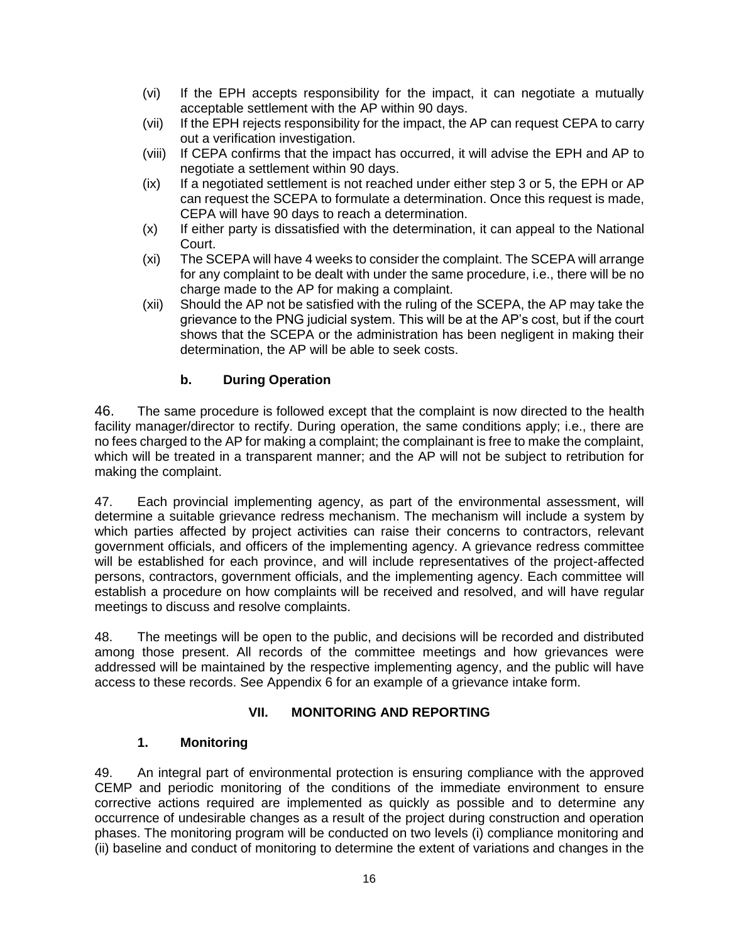- (vi) If the EPH accepts responsibility for the impact, it can negotiate a mutually acceptable settlement with the AP within 90 days.
- (vii) If the EPH rejects responsibility for the impact, the AP can request CEPA to carry out a verification investigation.
- (viii) If CEPA confirms that the impact has occurred, it will advise the EPH and AP to negotiate a settlement within 90 days.
- (ix) If a negotiated settlement is not reached under either step 3 or 5, the EPH or AP can request the SCEPA to formulate a determination. Once this request is made, CEPA will have 90 days to reach a determination.
- (x) If either party is dissatisfied with the determination, it can appeal to the National Court.
- (xi) The SCEPA will have 4 weeks to consider the complaint. The SCEPA will arrange for any complaint to be dealt with under the same procedure, i.e., there will be no charge made to the AP for making a complaint.
- (xii) Should the AP not be satisfied with the ruling of the SCEPA, the AP may take the grievance to the PNG judicial system. This will be at the AP's cost, but if the court shows that the SCEPA or the administration has been negligent in making their determination, the AP will be able to seek costs.

## **b. During Operation**

46. The same procedure is followed except that the complaint is now directed to the health facility manager/director to rectify. During operation, the same conditions apply; i.e., there are no fees charged to the AP for making a complaint; the complainant is free to make the complaint, which will be treated in a transparent manner; and the AP will not be subject to retribution for making the complaint.

47. Each provincial implementing agency, as part of the environmental assessment, will determine a suitable grievance redress mechanism. The mechanism will include a system by which parties affected by project activities can raise their concerns to contractors, relevant government officials, and officers of the implementing agency. A grievance redress committee will be established for each province, and will include representatives of the project-affected persons, contractors, government officials, and the implementing agency. Each committee will establish a procedure on how complaints will be received and resolved, and will have regular meetings to discuss and resolve complaints.

48. The meetings will be open to the public, and decisions will be recorded and distributed among those present. All records of the committee meetings and how grievances were addressed will be maintained by the respective implementing agency, and the public will have access to these records. See Appendix 6 for an example of a grievance intake form.

## **VII. MONITORING AND REPORTING**

## **1. Monitoring**

49. An integral part of environmental protection is ensuring compliance with the approved CEMP and periodic monitoring of the conditions of the immediate environment to ensure corrective actions required are implemented as quickly as possible and to determine any occurrence of undesirable changes as a result of the project during construction and operation phases. The monitoring program will be conducted on two levels (i) compliance monitoring and (ii) baseline and conduct of monitoring to determine the extent of variations and changes in the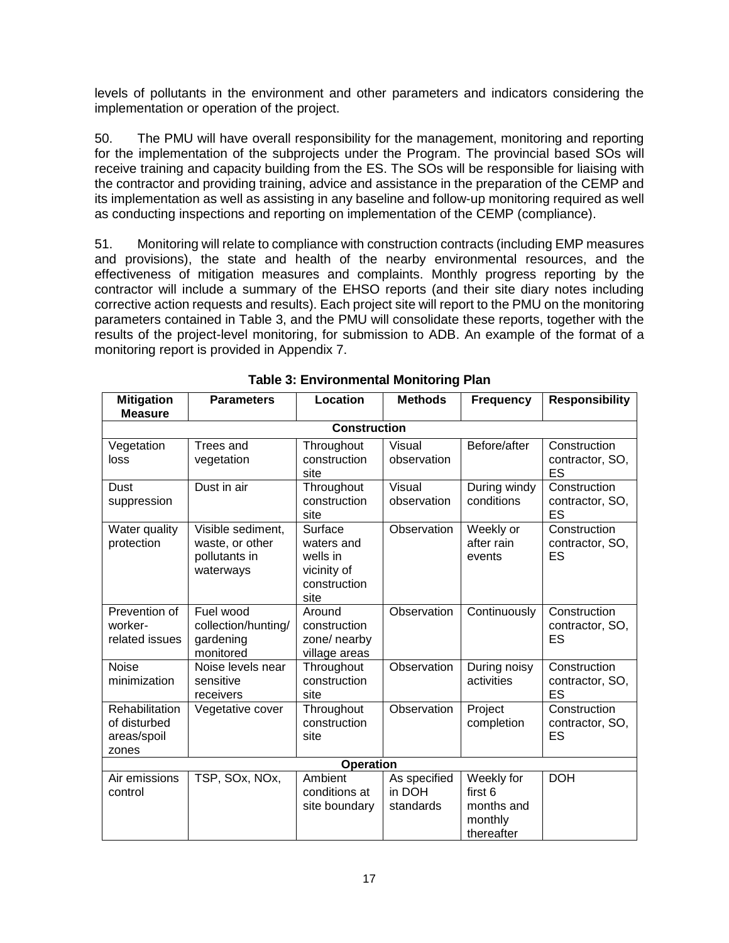levels of pollutants in the environment and other parameters and indicators considering the implementation or operation of the project.

50. The PMU will have overall responsibility for the management, monitoring and reporting for the implementation of the subprojects under the Program. The provincial based SOs will receive training and capacity building from the ES. The SOs will be responsible for liaising with the contractor and providing training, advice and assistance in the preparation of the CEMP and its implementation as well as assisting in any baseline and follow-up monitoring required as well as conducting inspections and reporting on implementation of the CEMP (compliance).

51. Monitoring will relate to compliance with construction contracts (including EMP measures and provisions), the state and health of the nearby environmental resources, and the effectiveness of mitigation measures and complaints. Monthly progress reporting by the contractor will include a summary of the EHSO reports (and their site diary notes including corrective action requests and results). Each project site will report to the PMU on the monitoring parameters contained in Table 3, and the PMU will consolidate these reports, together with the results of the project-level monitoring, for submission to ADB. An example of the format of a monitoring report is provided in Appendix 7.

| <b>Mitigation</b><br><b>Measure</b>                    | <b>Parameters</b>                                                  | Location                                                                 | <b>Methods</b>                      | <b>Frequency</b>                                             | <b>Responsibility</b>                 |  |
|--------------------------------------------------------|--------------------------------------------------------------------|--------------------------------------------------------------------------|-------------------------------------|--------------------------------------------------------------|---------------------------------------|--|
|                                                        | <b>Construction</b>                                                |                                                                          |                                     |                                                              |                                       |  |
| Vegetation<br>loss                                     | Trees and<br>vegetation                                            | Throughout<br>construction<br>site                                       | Visual<br>observation               | Before/after                                                 | Construction<br>contractor, SO,<br>ES |  |
| Dust<br>suppression                                    | Dust in air                                                        | Throughout<br>construction<br>site                                       | Visual<br>observation               | During windy<br>conditions                                   | Construction<br>contractor, SO,<br>ES |  |
| Water quality<br>protection                            | Visible sediment,<br>waste, or other<br>pollutants in<br>waterways | Surface<br>waters and<br>wells in<br>vicinity of<br>construction<br>site | Observation                         | Weekly or<br>after rain<br>events                            | Construction<br>contractor, SO,<br>ES |  |
| Prevention of<br>worker-<br>related issues             | Fuel wood<br>collection/hunting/<br>gardening<br>monitored         | Around<br>construction<br>zone/ nearby<br>village areas                  | Observation                         | Continuously                                                 | Construction<br>contractor, SO,<br>ES |  |
| <b>Noise</b><br>minimization                           | Noise levels near<br>sensitive<br>receivers                        | Throughout<br>construction<br>site                                       | Observation                         | During noisy<br>activities                                   | Construction<br>contractor, SO,<br>ES |  |
| Rehabilitation<br>of disturbed<br>areas/spoil<br>zones | Vegetative cover                                                   | Throughout<br>construction<br>site                                       | Observation                         | Project<br>completion                                        | Construction<br>contractor, SO,<br>ES |  |
| Operation                                              |                                                                    |                                                                          |                                     |                                                              |                                       |  |
| Air emissions<br>control                               | TSP, SOx, NOx,                                                     | Ambient<br>conditions at<br>site boundary                                | As specified<br>in DOH<br>standards | Weekly for<br>first 6<br>months and<br>monthly<br>thereafter | <b>DOH</b>                            |  |

**Table 3: Environmental Monitoring Plan**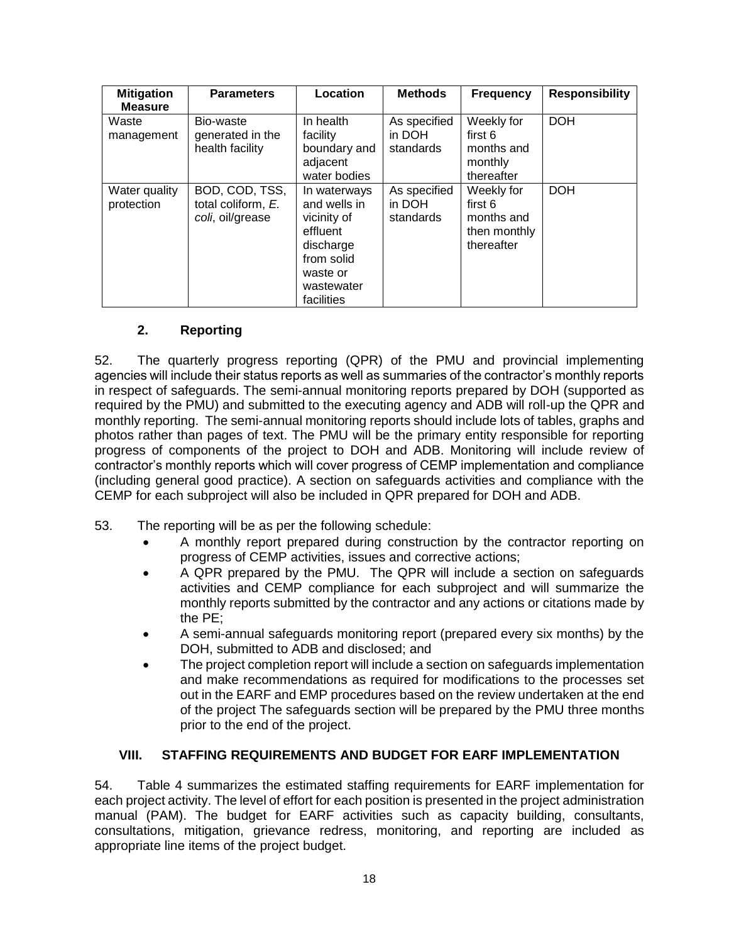| <b>Mitigation</b><br><b>Measure</b> | <b>Parameters</b>                                        | Location                                                                                                                   | <b>Methods</b>                      | <b>Frequency</b>                                                  | <b>Responsibility</b> |
|-------------------------------------|----------------------------------------------------------|----------------------------------------------------------------------------------------------------------------------------|-------------------------------------|-------------------------------------------------------------------|-----------------------|
| Waste<br>management                 | Bio-waste<br>generated in the<br>health facility         | In health<br>facility<br>boundary and<br>adjacent<br>water bodies                                                          | As specified<br>in DOH<br>standards | Weekly for<br>first 6<br>months and<br>monthly<br>thereafter      | <b>DOH</b>            |
| Water quality<br>protection         | BOD, COD, TSS,<br>total coliform, E.<br>coli, oil/grease | In waterways<br>and wells in<br>vicinity of<br>effluent<br>discharge<br>from solid<br>waste or<br>wastewater<br>facilities | As specified<br>in DOH<br>standards | Weekly for<br>first 6<br>months and<br>then monthly<br>thereafter | <b>DOH</b>            |

## **2. Reporting**

52. The quarterly progress reporting (QPR) of the PMU and provincial implementing agencies will include their status reports as well as summaries of the contractor's monthly reports in respect of safeguards. The semi-annual monitoring reports prepared by DOH (supported as required by the PMU) and submitted to the executing agency and ADB will roll-up the QPR and monthly reporting. The semi-annual monitoring reports should include lots of tables, graphs and photos rather than pages of text. The PMU will be the primary entity responsible for reporting progress of components of the project to DOH and ADB. Monitoring will include review of contractor's monthly reports which will cover progress of CEMP implementation and compliance (including general good practice). A section on safeguards activities and compliance with the CEMP for each subproject will also be included in QPR prepared for DOH and ADB.

- 53. The reporting will be as per the following schedule:
	- A monthly report prepared during construction by the contractor reporting on progress of CEMP activities, issues and corrective actions;
	- A QPR prepared by the PMU. The QPR will include a section on safeguards activities and CEMP compliance for each subproject and will summarize the monthly reports submitted by the contractor and any actions or citations made by the PE;
	- A semi-annual safeguards monitoring report (prepared every six months) by the DOH, submitted to ADB and disclosed; and
	- The project completion report will include a section on safeguards implementation and make recommendations as required for modifications to the processes set out in the EARF and EMP procedures based on the review undertaken at the end of the project The safeguards section will be prepared by the PMU three months prior to the end of the project.

#### **VIII. STAFFING REQUIREMENTS AND BUDGET FOR EARF IMPLEMENTATION**

54. Table 4 summarizes the estimated staffing requirements for EARF implementation for each project activity. The level of effort for each position is presented in the project administration manual (PAM). The budget for EARF activities such as capacity building, consultants, consultations, mitigation, grievance redress, monitoring, and reporting are included as appropriate line items of the project budget.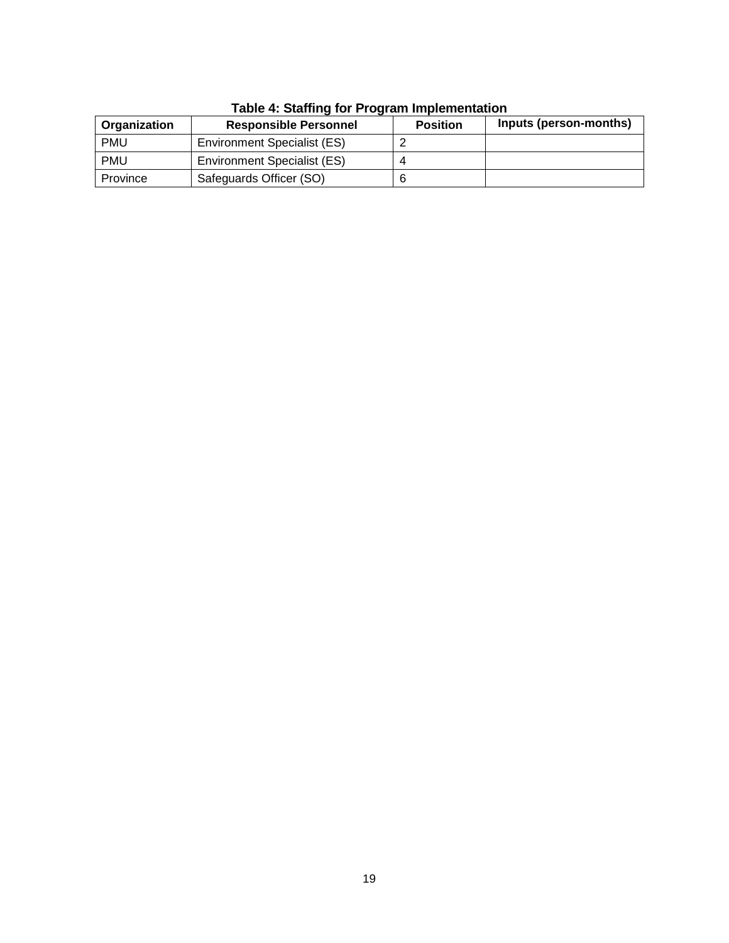| Organization | <b>Responsible Personnel</b>       | <b>Position</b> | Inputs (person-months) |
|--------------|------------------------------------|-----------------|------------------------|
| <b>PMU</b>   | <b>Environment Specialist (ES)</b> |                 |                        |
| <b>PMU</b>   | Environment Specialist (ES)        |                 |                        |
| Province     | Safeguards Officer (SO)            | а               |                        |

#### **Table 4: Staffing for Program Implementation**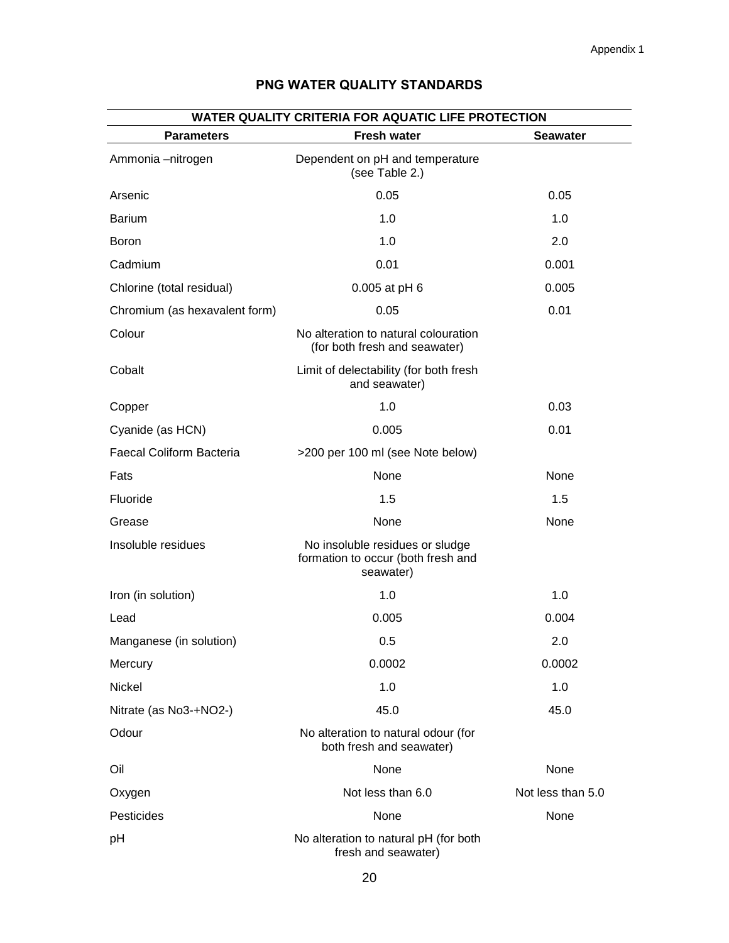| WATER QUALITY CRITERIA FOR AQUATIC LIFE PROTECTION<br><b>Parameters</b><br><b>Fresh water</b><br><b>Seawater</b> |                                                                                    |                   |  |  |  |
|------------------------------------------------------------------------------------------------------------------|------------------------------------------------------------------------------------|-------------------|--|--|--|
| Ammonia -nitrogen                                                                                                | Dependent on pH and temperature<br>(see Table 2.)                                  |                   |  |  |  |
| Arsenic                                                                                                          | 0.05                                                                               | 0.05              |  |  |  |
| <b>Barium</b>                                                                                                    | 1.0                                                                                | 1.0               |  |  |  |
| <b>Boron</b>                                                                                                     | 1.0                                                                                | 2.0               |  |  |  |
| Cadmium                                                                                                          | 0.01                                                                               | 0.001             |  |  |  |
| Chlorine (total residual)                                                                                        | 0.005 at pH 6                                                                      | 0.005             |  |  |  |
| Chromium (as hexavalent form)                                                                                    | 0.05                                                                               | 0.01              |  |  |  |
| Colour                                                                                                           | No alteration to natural colouration<br>(for both fresh and seawater)              |                   |  |  |  |
| Cobalt                                                                                                           | Limit of delectability (for both fresh<br>and seawater)                            |                   |  |  |  |
| Copper                                                                                                           | 1.0                                                                                | 0.03              |  |  |  |
| Cyanide (as HCN)                                                                                                 | 0.005                                                                              | 0.01              |  |  |  |
| Faecal Coliform Bacteria                                                                                         | >200 per 100 ml (see Note below)                                                   |                   |  |  |  |
| Fats                                                                                                             | None                                                                               | None              |  |  |  |
| Fluoride                                                                                                         | 1.5                                                                                | 1.5               |  |  |  |
| Grease                                                                                                           | None                                                                               | None              |  |  |  |
| Insoluble residues                                                                                               | No insoluble residues or sludge<br>formation to occur (both fresh and<br>seawater) |                   |  |  |  |
| Iron (in solution)                                                                                               | 1.0                                                                                | 1.0               |  |  |  |
| Lead                                                                                                             | 0.005                                                                              | 0.004             |  |  |  |
| Manganese (in solution)                                                                                          | 0.5                                                                                | 2.0               |  |  |  |
| Mercury                                                                                                          | 0.0002                                                                             | 0.0002            |  |  |  |
| Nickel                                                                                                           | 1.0                                                                                | 1.0               |  |  |  |
| Nitrate (as No3-+NO2-)                                                                                           | 45.0                                                                               | 45.0              |  |  |  |
| Odour                                                                                                            | No alteration to natural odour (for<br>both fresh and seawater)                    |                   |  |  |  |
| Oil                                                                                                              | None                                                                               | None              |  |  |  |
| Oxygen                                                                                                           | Not less than 6.0                                                                  | Not less than 5.0 |  |  |  |
| Pesticides                                                                                                       | None                                                                               | None              |  |  |  |
| pH                                                                                                               | No alteration to natural pH (for both<br>fresh and seawater)                       |                   |  |  |  |

## **PNG WATER QUALITY STANDARDS**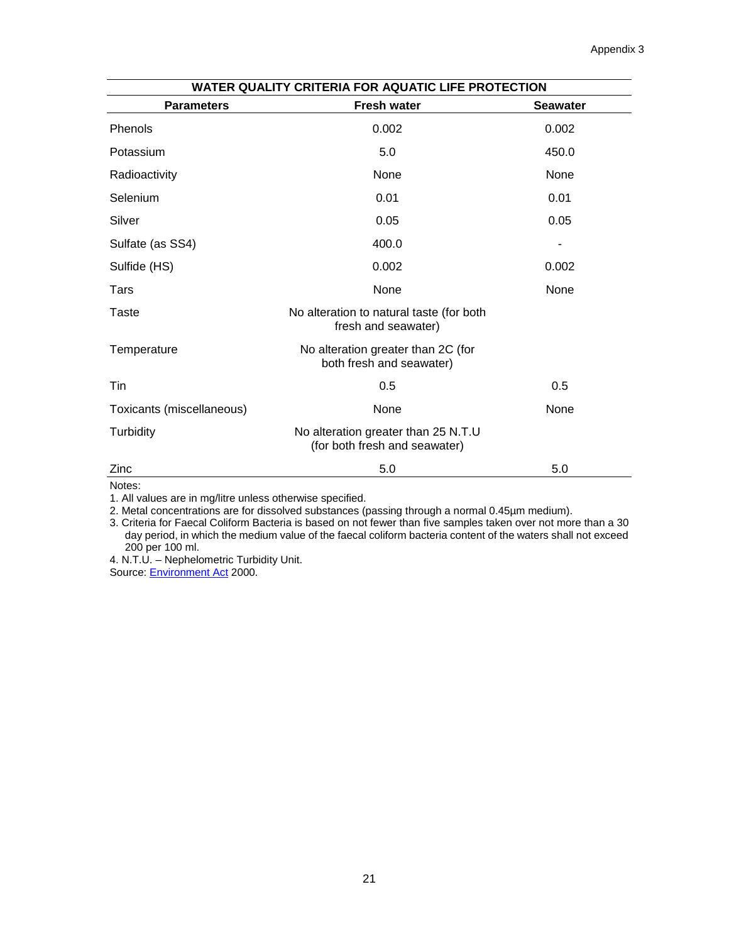| WATER QUALITY CRITERIA FOR AQUATIC LIFE PROTECTION |                                                                      |                 |  |  |
|----------------------------------------------------|----------------------------------------------------------------------|-----------------|--|--|
| <b>Parameters</b>                                  | <b>Fresh water</b>                                                   | <b>Seawater</b> |  |  |
| Phenols                                            | 0.002                                                                | 0.002           |  |  |
| Potassium                                          | 5.0                                                                  | 450.0           |  |  |
| Radioactivity                                      | None                                                                 | None            |  |  |
| Selenium                                           | 0.01                                                                 | 0.01            |  |  |
| Silver                                             | 0.05                                                                 | 0.05            |  |  |
| Sulfate (as SS4)                                   | 400.0                                                                |                 |  |  |
| Sulfide (HS)                                       | 0.002                                                                | 0.002           |  |  |
| Tars                                               | None                                                                 | None            |  |  |
| Taste                                              | No alteration to natural taste (for both<br>fresh and seawater)      |                 |  |  |
| Temperature                                        | No alteration greater than 2C (for<br>both fresh and seawater)       |                 |  |  |
| Tin                                                | 0.5                                                                  | 0.5             |  |  |
| Toxicants (miscellaneous)                          | None                                                                 | None            |  |  |
| Turbidity                                          | No alteration greater than 25 N.T.U<br>(for both fresh and seawater) |                 |  |  |
| Zinc                                               | 5.0                                                                  | 5.0             |  |  |

Notes:

1. All values are in mg/litre unless otherwise specified.

2. Metal concentrations are for dissolved substances (passing through a normal 0.45µm medium).

3. Criteria for Faecal Coliform Bacteria is based on not fewer than five samples taken over not more than a 30 day period, in which the medium value of the faecal coliform bacteria content of the waters shall not exceed 200 per 100 ml.

4. N.T.U. – Nephelometric Turbidity Unit.

Source: **[Environment Act](http://www.paclii.org/pg/legis/consol_act/ea2000159/)** 2000.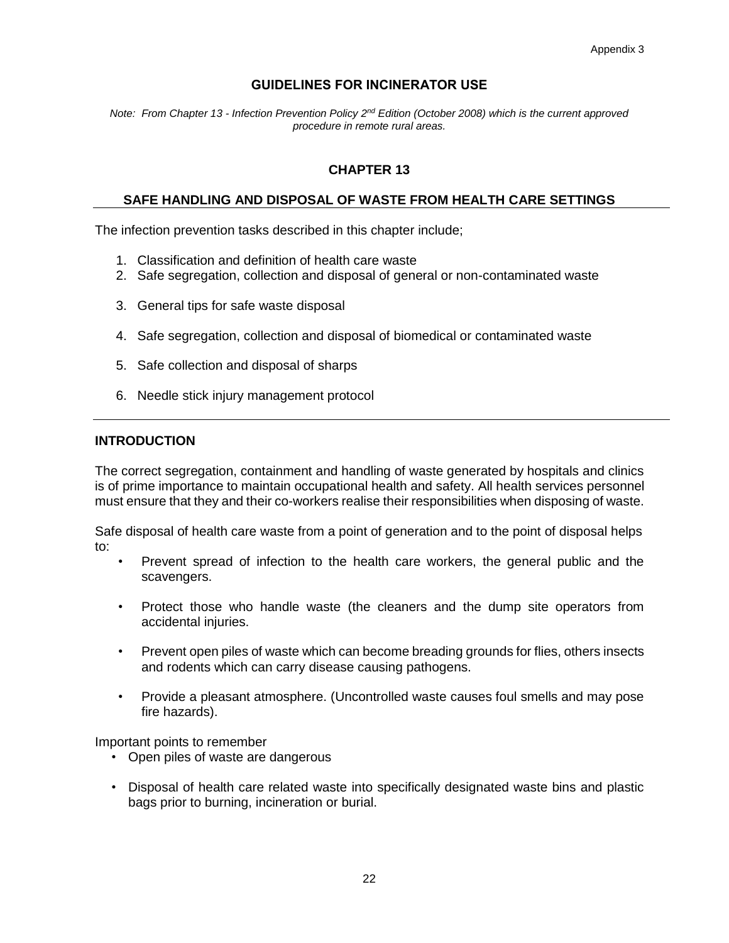## **GUIDELINES FOR INCINERATOR USE**

*Note: From Chapter 13 - Infection Prevention Policy 2nd Edition (October 2008) which is the current approved procedure in remote rural areas.*

## **CHAPTER 13**

#### **SAFE HANDLING AND DISPOSAL OF WASTE FROM HEALTH CARE SETTINGS**

The infection prevention tasks described in this chapter include;

- 1. Classification and definition of health care waste
- 2. Safe segregation, collection and disposal of general or non-contaminated waste
- 3. General tips for safe waste disposal
- 4. Safe segregation, collection and disposal of biomedical or contaminated waste
- 5. Safe collection and disposal of sharps
- 6. Needle stick injury management protocol

#### **INTRODUCTION**

The correct segregation, containment and handling of waste generated by hospitals and clinics is of prime importance to maintain occupational health and safety. All health services personnel must ensure that they and their co-workers realise their responsibilities when disposing of waste.

Safe disposal of health care waste from a point of generation and to the point of disposal helps to:

- Prevent spread of infection to the health care workers, the general public and the scavengers.
- Protect those who handle waste (the cleaners and the dump site operators from accidental injuries.
- Prevent open piles of waste which can become breading grounds for flies, others insects and rodents which can carry disease causing pathogens.
- Provide a pleasant atmosphere. (Uncontrolled waste causes foul smells and may pose fire hazards).

Important points to remember

- Open piles of waste are dangerous
- Disposal of health care related waste into specifically designated waste bins and plastic bags prior to burning, incineration or burial.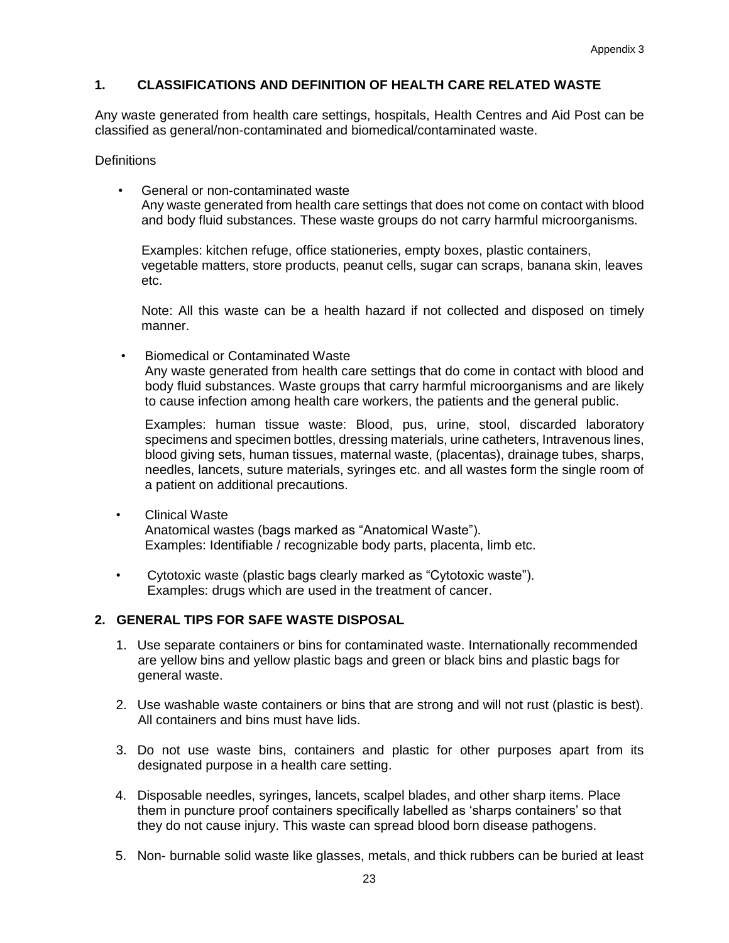## **1. CLASSIFICATIONS AND DEFINITION OF HEALTH CARE RELATED WASTE**

Any waste generated from health care settings, hospitals, Health Centres and Aid Post can be classified as general/non-contaminated and biomedical/contaminated waste.

**Definitions** 

• General or non-contaminated waste Any waste generated from health care settings that does not come on contact with blood and body fluid substances. These waste groups do not carry harmful microorganisms.

Examples: kitchen refuge, office stationeries, empty boxes, plastic containers, vegetable matters, store products, peanut cells, sugar can scraps, banana skin, leaves etc.

Note: All this waste can be a health hazard if not collected and disposed on timely manner.

• Biomedical or Contaminated Waste

Any waste generated from health care settings that do come in contact with blood and body fluid substances. Waste groups that carry harmful microorganisms and are likely to cause infection among health care workers, the patients and the general public.

Examples: human tissue waste: Blood, pus, urine, stool, discarded laboratory specimens and specimen bottles, dressing materials, urine catheters, Intravenous lines, blood giving sets, human tissues, maternal waste, (placentas), drainage tubes, sharps, needles, lancets, suture materials, syringes etc. and all wastes form the single room of a patient on additional precautions.

- Clinical Waste Anatomical wastes (bags marked as "Anatomical Waste"). Examples: Identifiable / recognizable body parts, placenta, limb etc.
- Cytotoxic waste (plastic bags clearly marked as "Cytotoxic waste"). Examples: drugs which are used in the treatment of cancer.

### **2. GENERAL TIPS FOR SAFE WASTE DISPOSAL**

- 1. Use separate containers or bins for contaminated waste. Internationally recommended are yellow bins and yellow plastic bags and green or black bins and plastic bags for general waste.
- 2. Use washable waste containers or bins that are strong and will not rust (plastic is best). All containers and bins must have lids.
- 3. Do not use waste bins, containers and plastic for other purposes apart from its designated purpose in a health care setting.
- 4. Disposable needles, syringes, lancets, scalpel blades, and other sharp items. Place them in puncture proof containers specifically labelled as 'sharps containers' so that they do not cause injury. This waste can spread blood born disease pathogens.
- 5. Non- burnable solid waste like glasses, metals, and thick rubbers can be buried at least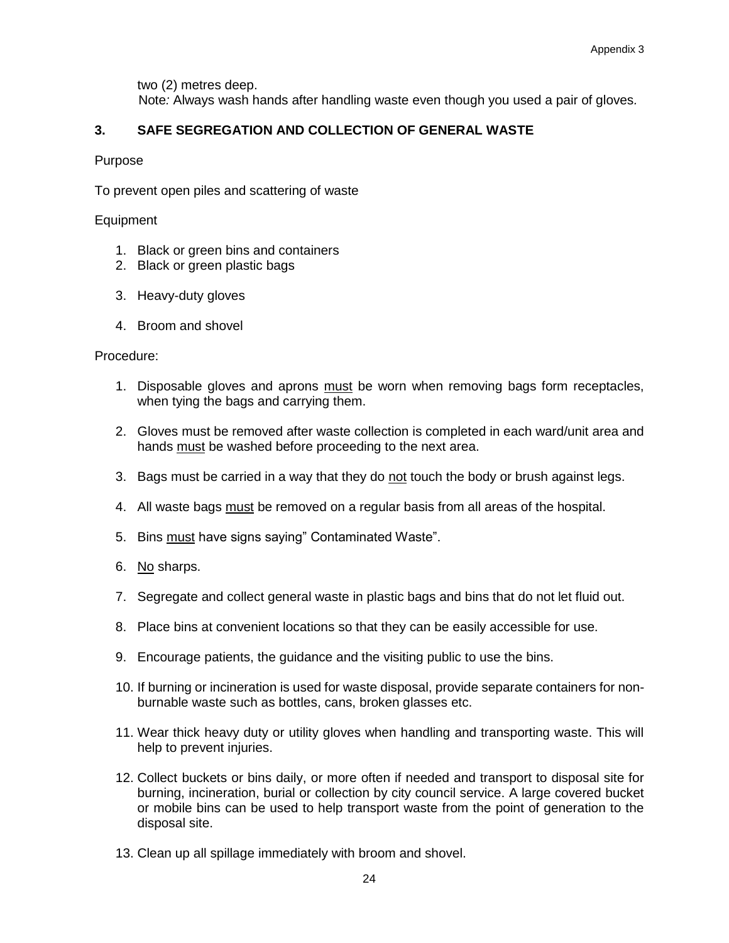two (2) metres deep.

Note*:* Always wash hands after handling waste even though you used a pair of gloves*.*

## **3. SAFE SEGREGATION AND COLLECTION OF GENERAL WASTE**

### Purpose

To prevent open piles and scattering of waste

### Equipment

- 1. Black or green bins and containers
- 2. Black or green plastic bags
- 3. Heavy-duty gloves
- 4. Broom and shovel

### Procedure:

- 1. Disposable gloves and aprons must be worn when removing bags form receptacles, when tying the bags and carrying them.
- 2. Gloves must be removed after waste collection is completed in each ward/unit area and hands must be washed before proceeding to the next area.
- 3. Bags must be carried in a way that they do not touch the body or brush against legs.
- 4. All waste bags must be removed on a regular basis from all areas of the hospital.
- 5. Bins must have signs saying" Contaminated Waste".
- 6. No sharps.
- 7. Segregate and collect general waste in plastic bags and bins that do not let fluid out.
- 8. Place bins at convenient locations so that they can be easily accessible for use.
- 9. Encourage patients, the guidance and the visiting public to use the bins.
- 10. If burning or incineration is used for waste disposal, provide separate containers for nonburnable waste such as bottles, cans, broken glasses etc.
- 11. Wear thick heavy duty or utility gloves when handling and transporting waste. This will help to prevent injuries.
- 12. Collect buckets or bins daily, or more often if needed and transport to disposal site for burning, incineration, burial or collection by city council service. A large covered bucket or mobile bins can be used to help transport waste from the point of generation to the disposal site.
- 13. Clean up all spillage immediately with broom and shovel.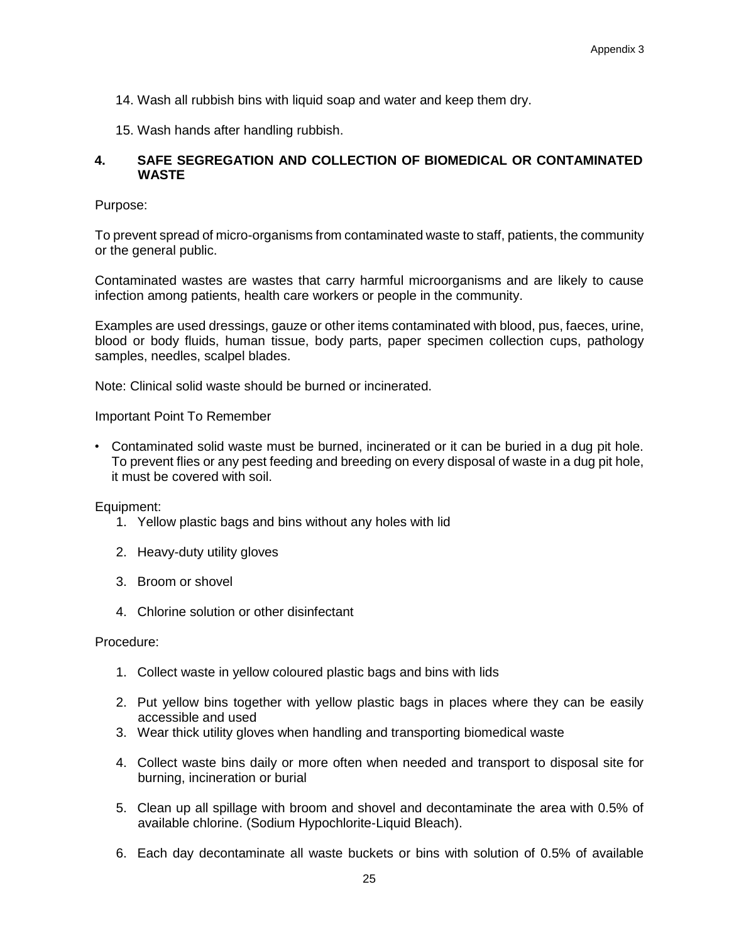- 14. Wash all rubbish bins with liquid soap and water and keep them dry.
- 15. Wash hands after handling rubbish.

#### **4. SAFE SEGREGATION AND COLLECTION OF BIOMEDICAL OR CONTAMINATED WASTE**

Purpose:

To prevent spread of micro-organisms from contaminated waste to staff, patients, the community or the general public.

Contaminated wastes are wastes that carry harmful microorganisms and are likely to cause infection among patients, health care workers or people in the community.

Examples are used dressings, gauze or other items contaminated with blood, pus, faeces, urine, blood or body fluids, human tissue, body parts, paper specimen collection cups, pathology samples, needles, scalpel blades.

Note: Clinical solid waste should be burned or incinerated.

Important Point To Remember

• Contaminated solid waste must be burned, incinerated or it can be buried in a dug pit hole. To prevent flies or any pest feeding and breeding on every disposal of waste in a dug pit hole, it must be covered with soil.

Equipment:

- 1. Yellow plastic bags and bins without any holes with lid
- 2. Heavy-duty utility gloves
- 3. Broom or shovel
- 4. Chlorine solution or other disinfectant

Procedure:

- 1. Collect waste in yellow coloured plastic bags and bins with lids
- 2. Put yellow bins together with yellow plastic bags in places where they can be easily accessible and used
- 3. Wear thick utility gloves when handling and transporting biomedical waste
- 4. Collect waste bins daily or more often when needed and transport to disposal site for burning, incineration or burial
- 5. Clean up all spillage with broom and shovel and decontaminate the area with 0.5% of available chlorine. (Sodium Hypochlorite-Liquid Bleach).
- 6. Each day decontaminate all waste buckets or bins with solution of 0.5% of available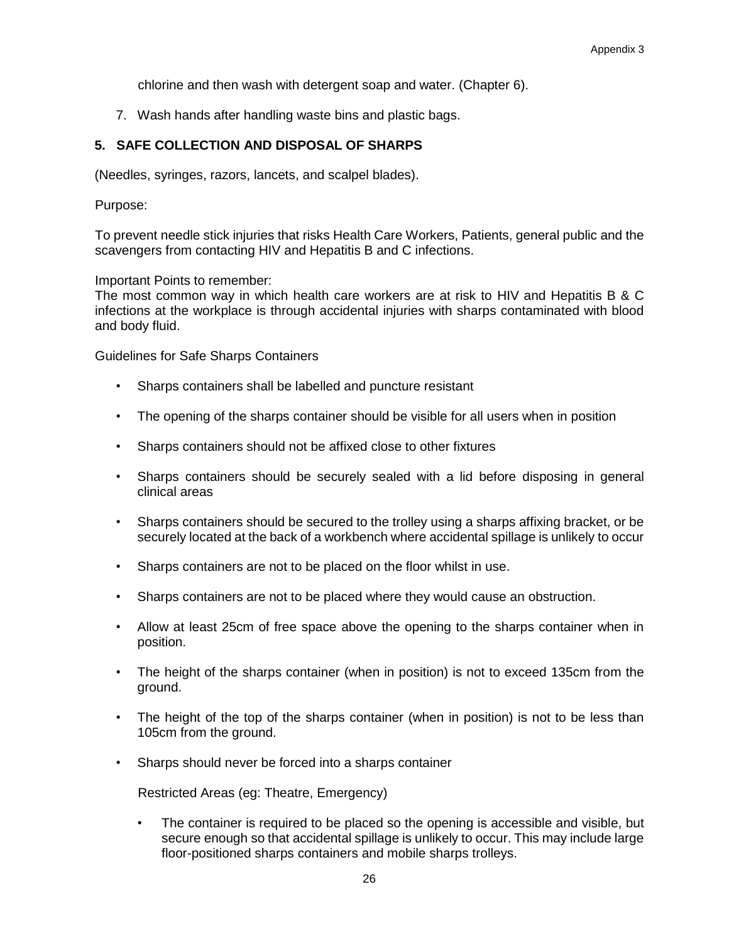chlorine and then wash with detergent soap and water. (Chapter 6).

7. Wash hands after handling waste bins and plastic bags.

## **5. SAFE COLLECTION AND DISPOSAL OF SHARPS**

(Needles, syringes, razors, lancets, and scalpel blades).

Purpose:

To prevent needle stick injuries that risks Health Care Workers, Patients, general public and the scavengers from contacting HIV and Hepatitis B and C infections.

Important Points to remember:

The most common way in which health care workers are at risk to HIV and Hepatitis B & C infections at the workplace is through accidental injuries with sharps contaminated with blood and body fluid.

Guidelines for Safe Sharps Containers

- Sharps containers shall be labelled and puncture resistant
- The opening of the sharps container should be visible for all users when in position
- Sharps containers should not be affixed close to other fixtures
- Sharps containers should be securely sealed with a lid before disposing in general clinical areas
- Sharps containers should be secured to the trolley using a sharps affixing bracket, or be securely located at the back of a workbench where accidental spillage is unlikely to occur
- Sharps containers are not to be placed on the floor whilst in use.
- Sharps containers are not to be placed where they would cause an obstruction.
- Allow at least 25cm of free space above the opening to the sharps container when in position.
- The height of the sharps container (when in position) is not to exceed 135cm from the ground.
- The height of the top of the sharps container (when in position) is not to be less than 105cm from the ground.
- Sharps should never be forced into a sharps container

Restricted Areas (eg: Theatre, Emergency)

• The container is required to be placed so the opening is accessible and visible, but secure enough so that accidental spillage is unlikely to occur. This may include large floor-positioned sharps containers and mobile sharps trolleys.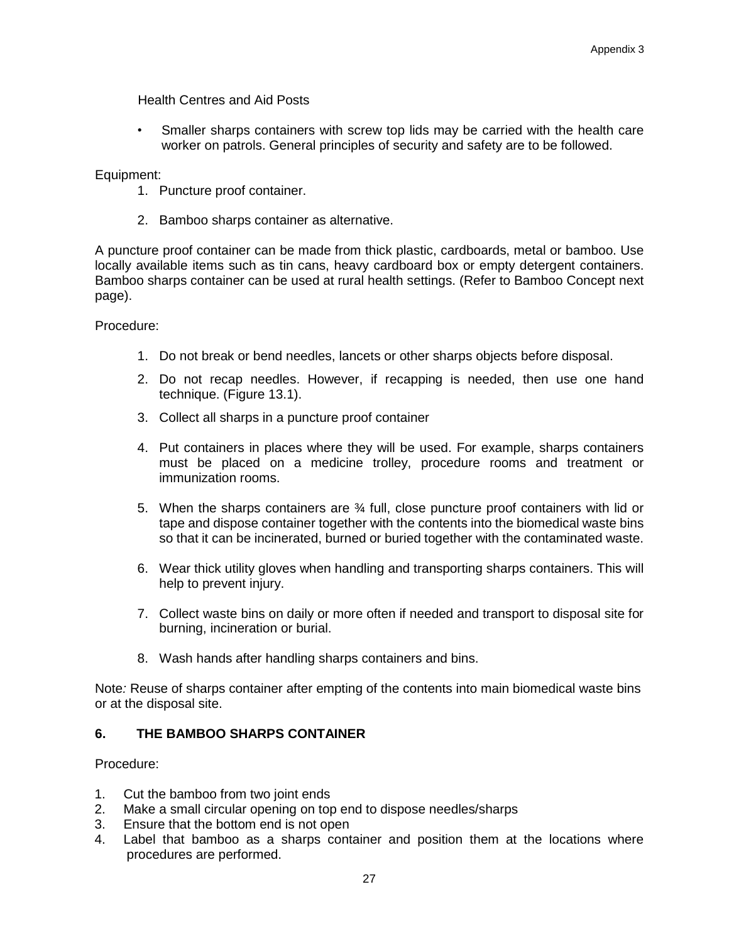Health Centres and Aid Posts

Smaller sharps containers with screw top lids may be carried with the health care worker on patrols. General principles of security and safety are to be followed.

Equipment:

- 1. Puncture proof container.
- 2. Bamboo sharps container as alternative.

A puncture proof container can be made from thick plastic, cardboards, metal or bamboo. Use locally available items such as tin cans, heavy cardboard box or empty detergent containers. Bamboo sharps container can be used at rural health settings. (Refer to Bamboo Concept next page).

Procedure:

- 1. Do not break or bend needles, lancets or other sharps objects before disposal.
- 2. Do not recap needles. However, if recapping is needed, then use one hand technique. (Figure 13.1).
- 3. Collect all sharps in a puncture proof container
- 4. Put containers in places where they will be used. For example, sharps containers must be placed on a medicine trolley, procedure rooms and treatment or immunization rooms.
- 5. When the sharps containers are  $\frac{3}{4}$  full, close puncture proof containers with lid or tape and dispose container together with the contents into the biomedical waste bins so that it can be incinerated, burned or buried together with the contaminated waste.
- 6. Wear thick utility gloves when handling and transporting sharps containers. This will help to prevent injury.
- 7. Collect waste bins on daily or more often if needed and transport to disposal site for burning, incineration or burial.
- 8. Wash hands after handling sharps containers and bins.

Note*:* Reuse of sharps container after empting of the contents into main biomedical waste bins or at the disposal site.

## **6. THE BAMBOO SHARPS CONTAINER**

Procedure:

- 1. Cut the bamboo from two joint ends
- 2. Make a small circular opening on top end to dispose needles/sharps
- 3. Ensure that the bottom end is not open
- 4. Label that bamboo as a sharps container and position them at the locations where procedures are performed.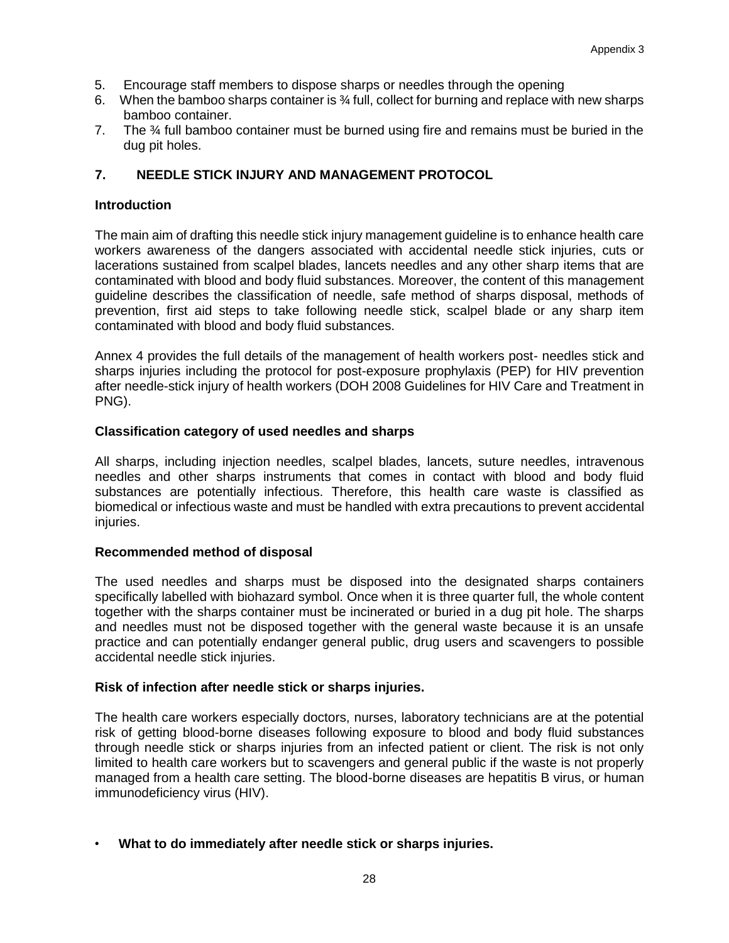- 5. Encourage staff members to dispose sharps or needles through the opening
- 6. When the bamboo sharps container is ¾ full, collect for burning and replace with new sharps bamboo container.
- 7. The ¾ full bamboo container must be burned using fire and remains must be buried in the dug pit holes.

### **7. NEEDLE STICK INJURY AND MANAGEMENT PROTOCOL**

#### **Introduction**

The main aim of drafting this needle stick injury management guideline is to enhance health care workers awareness of the dangers associated with accidental needle stick injuries, cuts or lacerations sustained from scalpel blades, lancets needles and any other sharp items that are contaminated with blood and body fluid substances. Moreover, the content of this management guideline describes the classification of needle, safe method of sharps disposal, methods of prevention, first aid steps to take following needle stick, scalpel blade or any sharp item contaminated with blood and body fluid substances.

Annex 4 provides the full details of the management of health workers post- needles stick and sharps injuries including the protocol for post-exposure prophylaxis (PEP) for HIV prevention after needle-stick injury of health workers (DOH 2008 Guidelines for HIV Care and Treatment in PNG).

### **Classification category of used needles and sharps**

All sharps, including injection needles, scalpel blades, lancets, suture needles, intravenous needles and other sharps instruments that comes in contact with blood and body fluid substances are potentially infectious. Therefore, this health care waste is classified as biomedical or infectious waste and must be handled with extra precautions to prevent accidental injuries.

#### **Recommended method of disposal**

The used needles and sharps must be disposed into the designated sharps containers specifically labelled with biohazard symbol. Once when it is three quarter full, the whole content together with the sharps container must be incinerated or buried in a dug pit hole. The sharps and needles must not be disposed together with the general waste because it is an unsafe practice and can potentially endanger general public, drug users and scavengers to possible accidental needle stick injuries.

#### **Risk of infection after needle stick or sharps injuries.**

The health care workers especially doctors, nurses, laboratory technicians are at the potential risk of getting blood-borne diseases following exposure to blood and body fluid substances through needle stick or sharps injuries from an infected patient or client. The risk is not only limited to health care workers but to scavengers and general public if the waste is not properly managed from a health care setting. The blood-borne diseases are hepatitis B virus, or human immunodeficiency virus (HIV).

### • **What to do immediately after needle stick or sharps injuries.**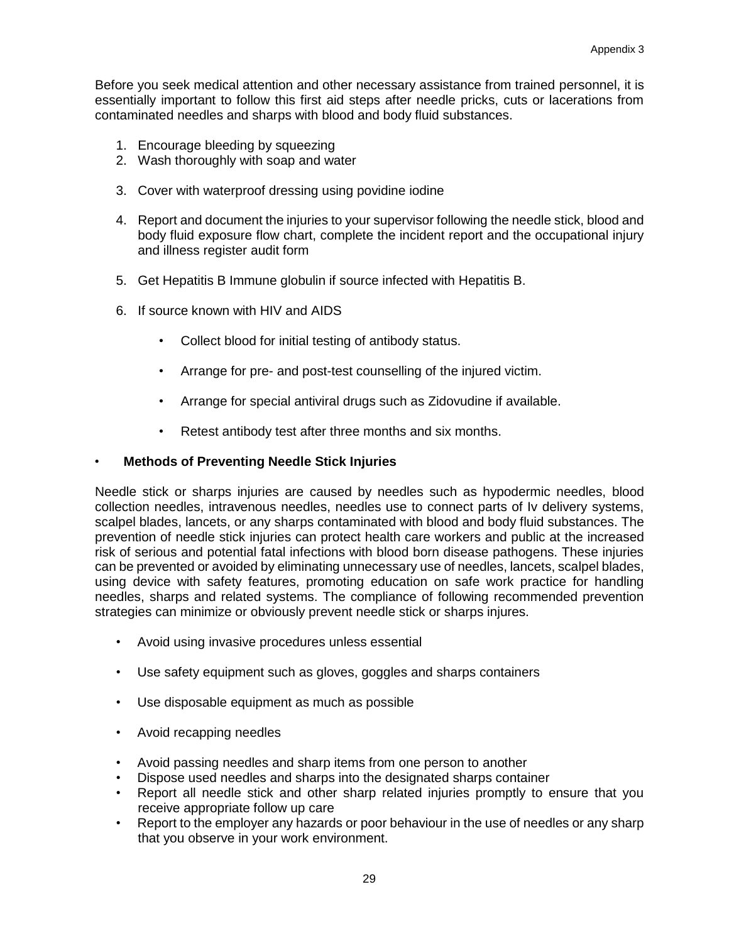Before you seek medical attention and other necessary assistance from trained personnel, it is essentially important to follow this first aid steps after needle pricks, cuts or lacerations from contaminated needles and sharps with blood and body fluid substances.

- 1. Encourage bleeding by squeezing
- 2. Wash thoroughly with soap and water
- 3. Cover with waterproof dressing using povidine iodine
- 4. Report and document the injuries to your supervisor following the needle stick, blood and body fluid exposure flow chart, complete the incident report and the occupational injury and illness register audit form
- 5. Get Hepatitis B Immune globulin if source infected with Hepatitis B.
- 6. If source known with HIV and AIDS
	- Collect blood for initial testing of antibody status.
	- Arrange for pre- and post-test counselling of the injured victim.
	- Arrange for special antiviral drugs such as Zidovudine if available.
	- Retest antibody test after three months and six months.

### • **Methods of Preventing Needle Stick Injuries**

Needle stick or sharps injuries are caused by needles such as hypodermic needles, blood collection needles, intravenous needles, needles use to connect parts of Iv delivery systems, scalpel blades, lancets, or any sharps contaminated with blood and body fluid substances. The prevention of needle stick injuries can protect health care workers and public at the increased risk of serious and potential fatal infections with blood born disease pathogens. These injuries can be prevented or avoided by eliminating unnecessary use of needles, lancets, scalpel blades, using device with safety features, promoting education on safe work practice for handling needles, sharps and related systems. The compliance of following recommended prevention strategies can minimize or obviously prevent needle stick or sharps injures.

- Avoid using invasive procedures unless essential
- Use safety equipment such as gloves, goggles and sharps containers
- Use disposable equipment as much as possible
- Avoid recapping needles
- Avoid passing needles and sharp items from one person to another
- Dispose used needles and sharps into the designated sharps container
- Report all needle stick and other sharp related injuries promptly to ensure that you receive appropriate follow up care
- Report to the employer any hazards or poor behaviour in the use of needles or any sharp that you observe in your work environment.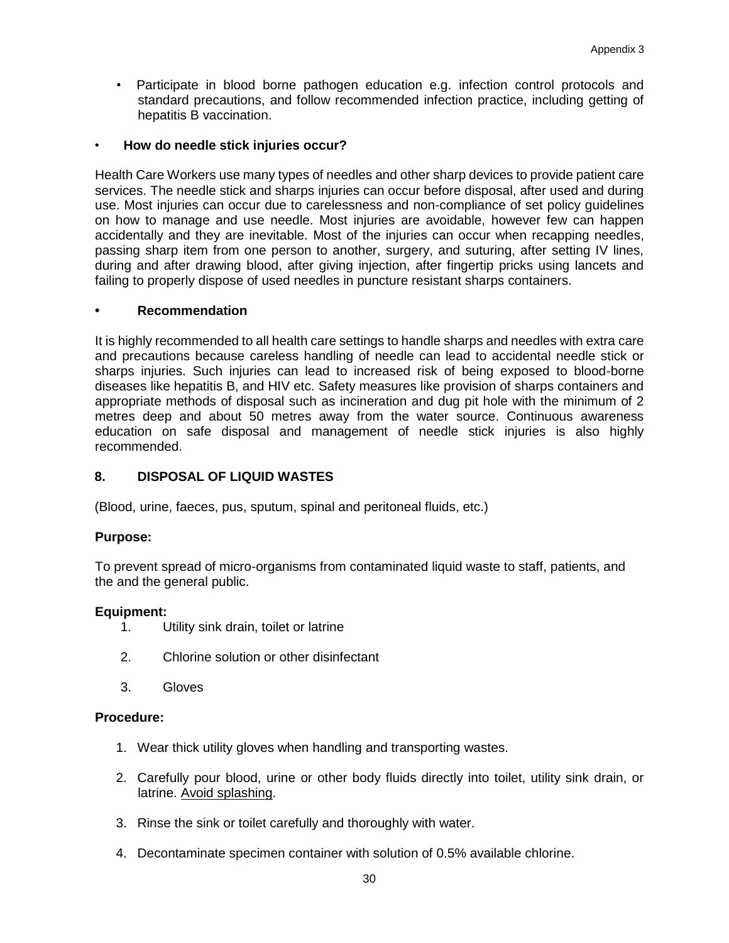Participate in blood borne pathogen education e.g. infection control protocols and standard precautions, and follow recommended infection practice, including getting of hepatitis B vaccination.

### • **How do needle stick injuries occur?**

Health Care Workers use many types of needles and other sharp devices to provide patient care services. The needle stick and sharps injuries can occur before disposal, after used and during use. Most injuries can occur due to carelessness and non-compliance of set policy guidelines on how to manage and use needle. Most injuries are avoidable, however few can happen accidentally and they are inevitable. Most of the injuries can occur when recapping needles, passing sharp item from one person to another, surgery, and suturing, after setting IV lines, during and after drawing blood, after giving injection, after fingertip pricks using lancets and failing to properly dispose of used needles in puncture resistant sharps containers.

### **• Recommendation**

It is highly recommended to all health care settings to handle sharps and needles with extra care and precautions because careless handling of needle can lead to accidental needle stick or sharps injuries. Such injuries can lead to increased risk of being exposed to blood-borne diseases like hepatitis B, and HIV etc. Safety measures like provision of sharps containers and appropriate methods of disposal such as incineration and dug pit hole with the minimum of 2 metres deep and about 50 metres away from the water source. Continuous awareness education on safe disposal and management of needle stick injuries is also highly recommended.

## **8. DISPOSAL OF LIQUID WASTES**

(Blood, urine, faeces, pus, sputum, spinal and peritoneal fluids, etc.)

### **Purpose:**

To prevent spread of micro-organisms from contaminated liquid waste to staff, patients, and the and the general public.

### **Equipment:**

- 1. Utility sink drain, toilet or latrine
- 2. Chlorine solution or other disinfectant
- 3. Gloves

### **Procedure:**

- 1. Wear thick utility gloves when handling and transporting wastes.
- 2. Carefully pour blood, urine or other body fluids directly into toilet, utility sink drain, or latrine. Avoid splashing.
- 3. Rinse the sink or toilet carefully and thoroughly with water.
- 4. Decontaminate specimen container with solution of 0.5% available chlorine.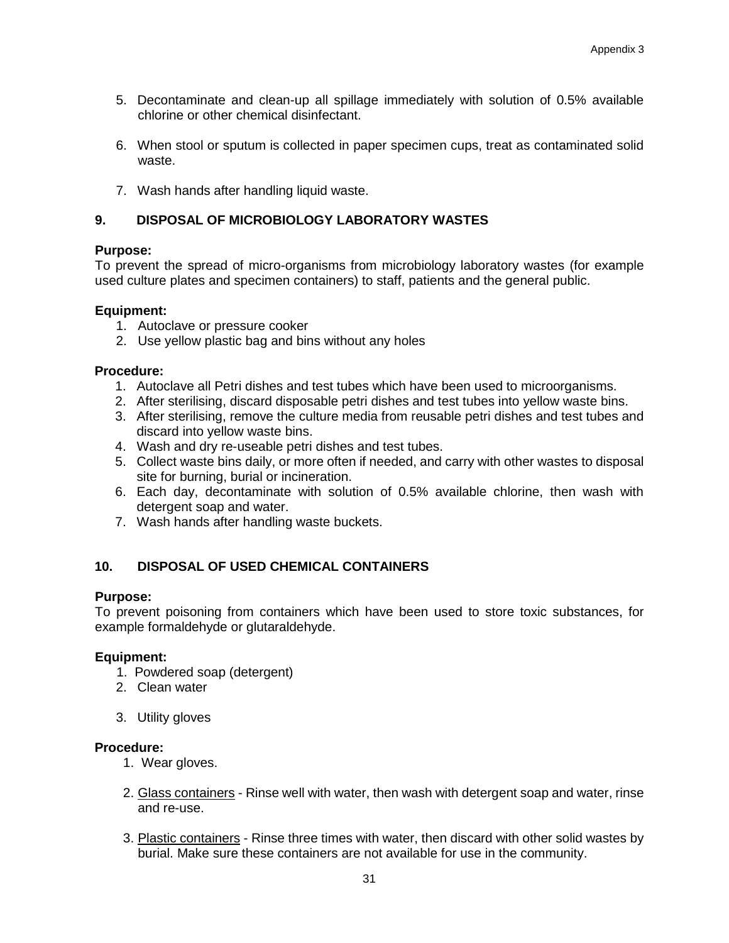- 5. Decontaminate and clean-up all spillage immediately with solution of 0.5% available chlorine or other chemical disinfectant.
- 6. When stool or sputum is collected in paper specimen cups, treat as contaminated solid waste.
- 7. Wash hands after handling liquid waste.

## **9. DISPOSAL OF MICROBIOLOGY LABORATORY WASTES**

#### **Purpose:**

To prevent the spread of micro-organisms from microbiology laboratory wastes (for example used culture plates and specimen containers) to staff, patients and the general public.

#### **Equipment:**

- 1. Autoclave or pressure cooker
- 2. Use yellow plastic bag and bins without any holes

#### **Procedure:**

- 1. Autoclave all Petri dishes and test tubes which have been used to microorganisms.
- 2. After sterilising, discard disposable petri dishes and test tubes into yellow waste bins.
- 3. After sterilising, remove the culture media from reusable petri dishes and test tubes and discard into yellow waste bins.
- 4. Wash and dry re-useable petri dishes and test tubes.
- 5. Collect waste bins daily, or more often if needed, and carry with other wastes to disposal site for burning, burial or incineration.
- 6. Each day, decontaminate with solution of 0.5% available chlorine, then wash with detergent soap and water.
- 7. Wash hands after handling waste buckets.

## **10. DISPOSAL OF USED CHEMICAL CONTAINERS**

#### **Purpose:**

To prevent poisoning from containers which have been used to store toxic substances, for example formaldehyde or glutaraldehyde.

#### **Equipment:**

- 1. Powdered soap (detergent)
- 2. Clean water
- 3. Utility gloves

#### **Procedure:**

- 1. Wear gloves.
- 2. Glass containers Rinse well with water, then wash with detergent soap and water, rinse and re-use.
- 3. Plastic containers Rinse three times with water, then discard with other solid wastes by burial. Make sure these containers are not available for use in the community.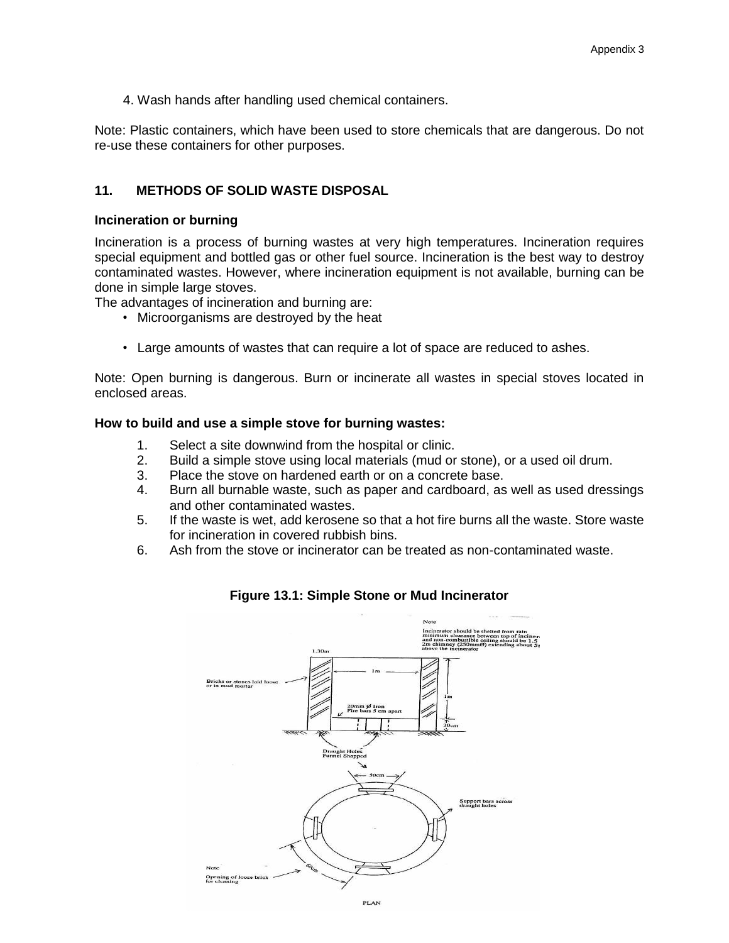4. Wash hands after handling used chemical containers.

Note: Plastic containers, which have been used to store chemicals that are dangerous. Do not re-use these containers for other purposes.

### **11. METHODS OF SOLID WASTE DISPOSAL**

#### **Incineration or burning**

Incineration is a process of burning wastes at very high temperatures. Incineration requires special equipment and bottled gas or other fuel source. Incineration is the best way to destroy contaminated wastes. However, where incineration equipment is not available, burning can be done in simple large stoves.

The advantages of incineration and burning are:

- Microorganisms are destroyed by the heat
- Large amounts of wastes that can require a lot of space are reduced to ashes.

Note: Open burning is dangerous. Burn or incinerate all wastes in special stoves located in enclosed areas.

#### **How to build and use a simple stove for burning wastes:**

- 1. Select a site downwind from the hospital or clinic.
- 2. Build a simple stove using local materials (mud or stone), or a used oil drum.
- 3. Place the stove on hardened earth or on a concrete base.
- 4. Burn all burnable waste, such as paper and cardboard, as well as used dressings and other contaminated wastes.
- 5. If the waste is wet, add kerosene so that a hot fire burns all the waste. Store waste for incineration in covered rubbish bins.
- 6. Ash from the stove or incinerator can be treated as non-contaminated waste.



### **Figure 13.1: Simple Stone or Mud Incinerator**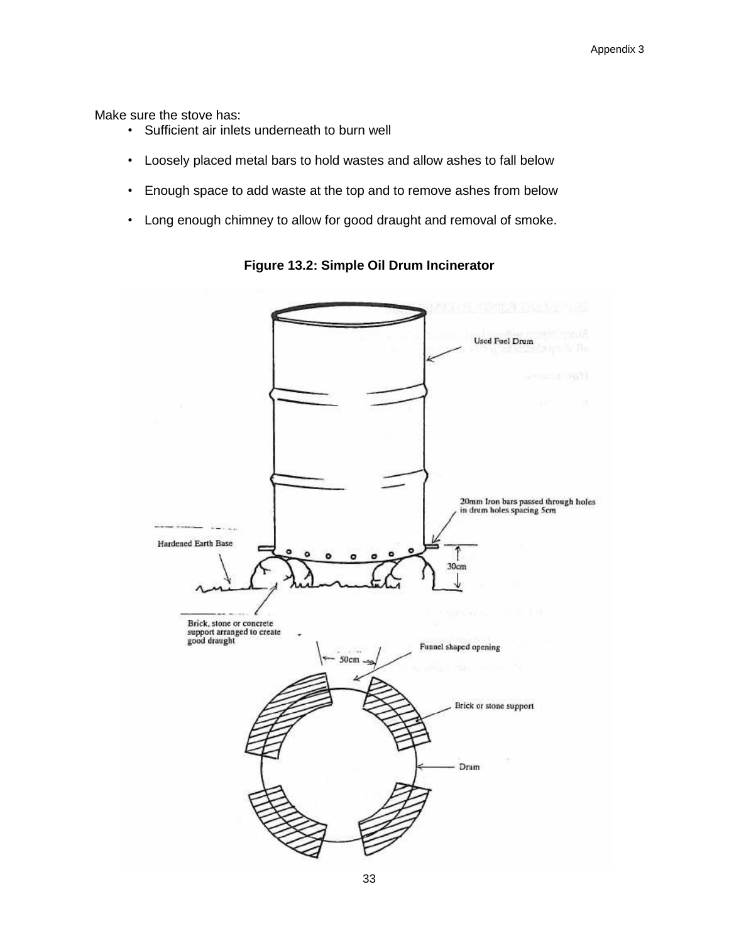Make sure the stove has:

- Sufficient air inlets underneath to burn well
- Loosely placed metal bars to hold wastes and allow ashes to fall below
- Enough space to add waste at the top and to remove ashes from below
- Long enough chimney to allow for good draught and removal of smoke.



**Figure 13.2: Simple Oil Drum Incinerator**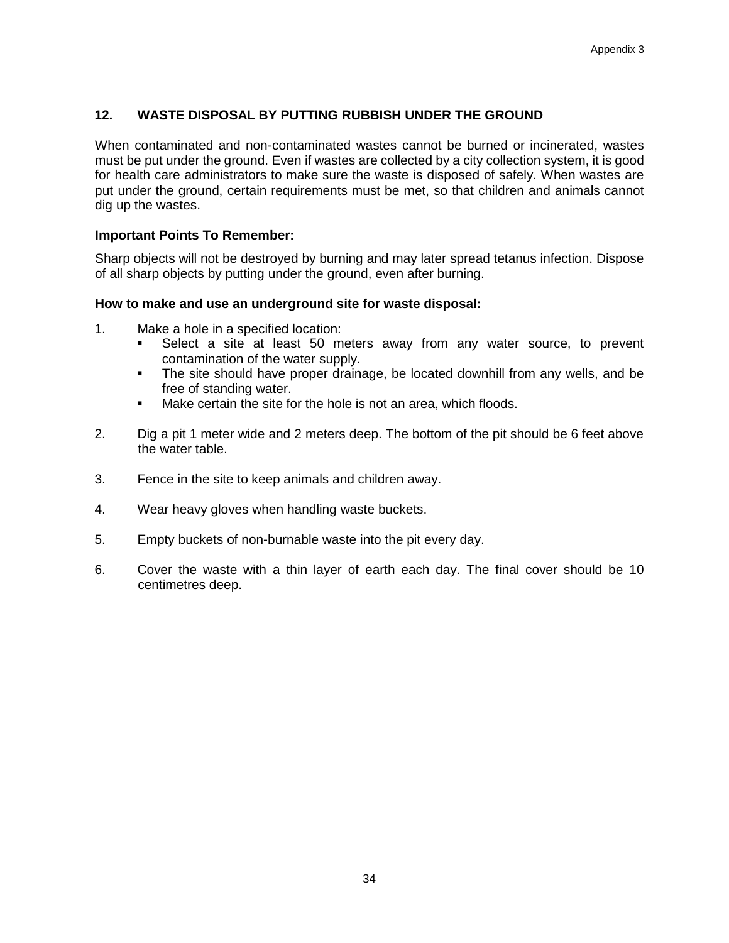## **12. WASTE DISPOSAL BY PUTTING RUBBISH UNDER THE GROUND**

When contaminated and non-contaminated wastes cannot be burned or incinerated, wastes must be put under the ground. Even if wastes are collected by a city collection system, it is good for health care administrators to make sure the waste is disposed of safely. When wastes are put under the ground, certain requirements must be met, so that children and animals cannot dig up the wastes.

#### **Important Points To Remember:**

Sharp objects will not be destroyed by burning and may later spread tetanus infection. Dispose of all sharp objects by putting under the ground, even after burning.

#### **How to make and use an underground site for waste disposal:**

- 1. Make a hole in a specified location:
	- **EXELGE A SITE AT SET AT SIGN 2018 SEECO F** Select a site at least 50 meters away from any water source, to prevent contamination of the water supply.
	- The site should have proper drainage, be located downhill from any wells, and be free of standing water.
	- Make certain the site for the hole is not an area, which floods.
- 2. Dig a pit 1 meter wide and 2 meters deep. The bottom of the pit should be 6 feet above the water table.
- 3. Fence in the site to keep animals and children away.
- 4. Wear heavy gloves when handling waste buckets.
- 5. Empty buckets of non-burnable waste into the pit every day.
- 6. Cover the waste with a thin layer of earth each day. The final cover should be 10 centimetres deep.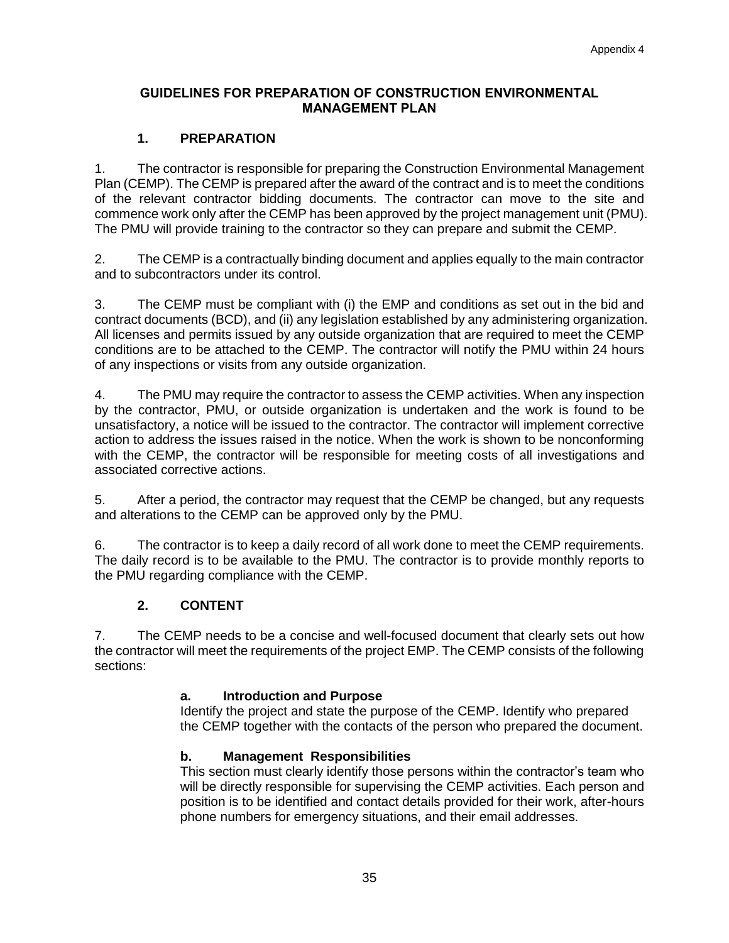## **GUIDELINES FOR PREPARATION OF CONSTRUCTION ENVIRONMENTAL MANAGEMENT PLAN**

## **1. PREPARATION**

1. The contractor is responsible for preparing the Construction Environmental Management Plan (CEMP). The CEMP is prepared after the award of the contract and is to meet the conditions of the relevant contractor bidding documents. The contractor can move to the site and commence work only after the CEMP has been approved by the project management unit (PMU). The PMU will provide training to the contractor so they can prepare and submit the CEMP.

2. The CEMP is a contractually binding document and applies equally to the main contractor and to subcontractors under its control.

3. The CEMP must be compliant with (i) the EMP and conditions as set out in the bid and contract documents (BCD), and (ii) any legislation established by any administering organization. All licenses and permits issued by any outside organization that are required to meet the CEMP conditions are to be attached to the CEMP. The contractor will notify the PMU within 24 hours of any inspections or visits from any outside organization.

4. The PMU may require the contractor to assess the CEMP activities. When any inspection by the contractor, PMU, or outside organization is undertaken and the work is found to be unsatisfactory, a notice will be issued to the contractor. The contractor will implement corrective action to address the issues raised in the notice. When the work is shown to be nonconforming with the CEMP, the contractor will be responsible for meeting costs of all investigations and associated corrective actions.

5. After a period, the contractor may request that the CEMP be changed, but any requests and alterations to the CEMP can be approved only by the PMU.

6. The contractor is to keep a daily record of all work done to meet the CEMP requirements. The daily record is to be available to the PMU. The contractor is to provide monthly reports to the PMU regarding compliance with the CEMP.

## **2. CONTENT**

7. The CEMP needs to be a concise and well-focused document that clearly sets out how the contractor will meet the requirements of the project EMP. The CEMP consists of the following sections:

### **a. Introduction and Purpose**

Identify the project and state the purpose of the CEMP. Identify who prepared the CEMP together with the contacts of the person who prepared the document.

### **b. Management Responsibilities**

This section must clearly identify those persons within the contractor's team who will be directly responsible for supervising the CEMP activities. Each person and position is to be identified and contact details provided for their work, after-hours phone numbers for emergency situations, and their email addresses.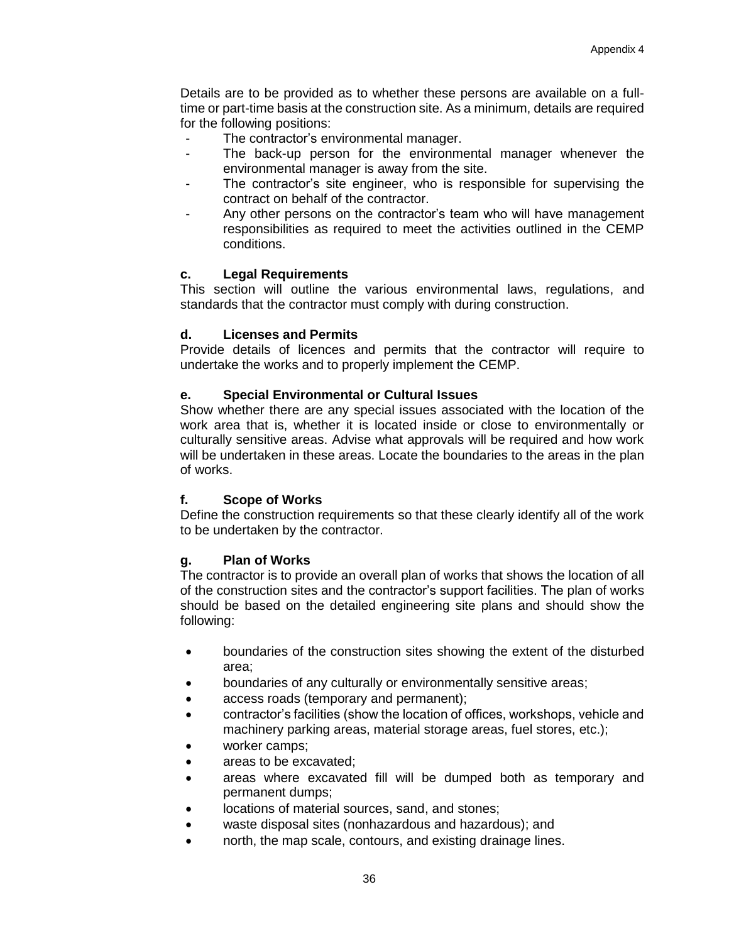Details are to be provided as to whether these persons are available on a fulltime or part-time basis at the construction site. As a minimum, details are required for the following positions:

- The contractor's environmental manager.
- The back-up person for the environmental manager whenever the environmental manager is away from the site.
- The contractor's site engineer, who is responsible for supervising the contract on behalf of the contractor.
- Any other persons on the contractor's team who will have management responsibilities as required to meet the activities outlined in the CEMP conditions.

### **c. Legal Requirements**

This section will outline the various environmental laws, regulations, and standards that the contractor must comply with during construction.

## **d. Licenses and Permits**

Provide details of licences and permits that the contractor will require to undertake the works and to properly implement the CEMP.

## **e. Special Environmental or Cultural Issues**

Show whether there are any special issues associated with the location of the work area that is, whether it is located inside or close to environmentally or culturally sensitive areas. Advise what approvals will be required and how work will be undertaken in these areas. Locate the boundaries to the areas in the plan of works.

### **f. Scope of Works**

Define the construction requirements so that these clearly identify all of the work to be undertaken by the contractor.

### **g. Plan of Works**

The contractor is to provide an overall plan of works that shows the location of all of the construction sites and the contractor's support facilities. The plan of works should be based on the detailed engineering site plans and should show the following:

- boundaries of the construction sites showing the extent of the disturbed area;
- boundaries of any culturally or environmentally sensitive areas;
- access roads (temporary and permanent);
- contractor's facilities (show the location of offices, workshops, vehicle and machinery parking areas, material storage areas, fuel stores, etc.);
- worker camps:
- areas to be excavated:
- areas where excavated fill will be dumped both as temporary and permanent dumps;
- locations of material sources, sand, and stones;
- waste disposal sites (nonhazardous and hazardous); and
- north, the map scale, contours, and existing drainage lines.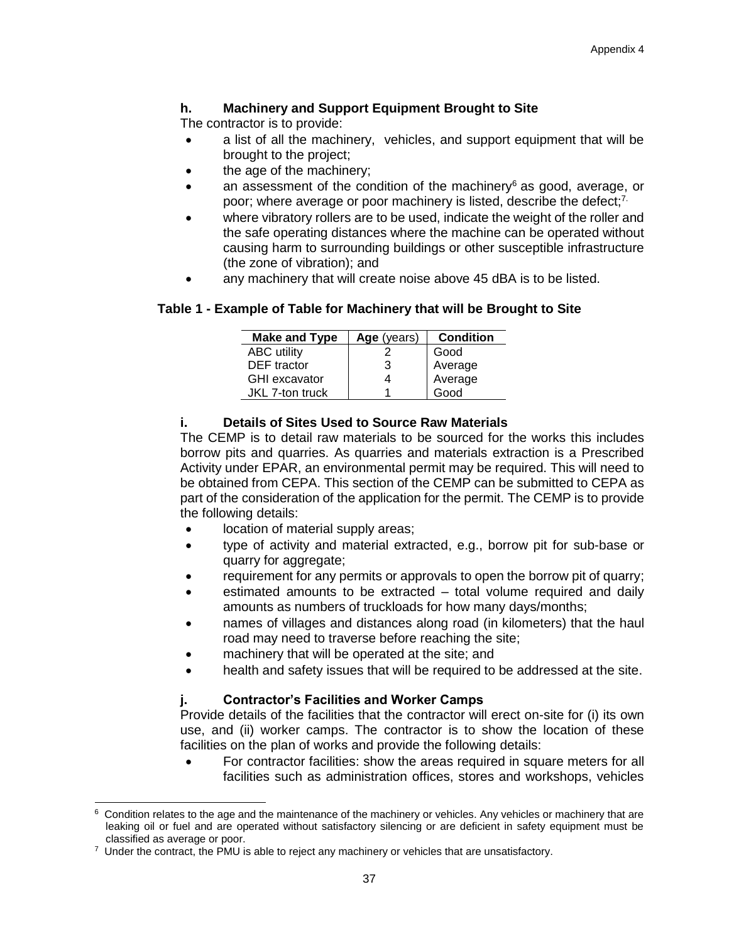## **h. Machinery and Support Equipment Brought to Site**

The contractor is to provide:

- a list of all the machinery, vehicles, and support equipment that will be brought to the project;
- the age of the machinery;
- an assessment of the condition of the machinery $6$  as good, average, or poor; where average or poor machinery is listed, describe the defect;<sup>7.</sup>
- where vibratory rollers are to be used, indicate the weight of the roller and the safe operating distances where the machine can be operated without causing harm to surrounding buildings or other susceptible infrastructure (the zone of vibration); and
- any machinery that will create noise above 45 dBA is to be listed.

## **Table 1 - Example of Table for Machinery that will be Brought to Site**

| <b>Make and Type</b> | Age (years) | <b>Condition</b> |
|----------------------|-------------|------------------|
| <b>ABC</b> utility   |             | Good             |
| <b>DEF</b> tractor   | 3           | Average          |
| <b>GHI</b> excavator |             | Average          |
| JKL 7-ton truck      |             | Good             |

## **i. Details of Sites Used to Source Raw Materials**

The CEMP is to detail raw materials to be sourced for the works this includes borrow pits and quarries. As quarries and materials extraction is a Prescribed Activity under EPAR, an environmental permit may be required. This will need to be obtained from CEPA. This section of the CEMP can be submitted to CEPA as part of the consideration of the application for the permit. The CEMP is to provide the following details:

- location of material supply areas;
- type of activity and material extracted, e.g., borrow pit for sub-base or quarry for aggregate;
- requirement for any permits or approvals to open the borrow pit of quarry;
- estimated amounts to be extracted total volume required and daily amounts as numbers of truckloads for how many days/months;
- names of villages and distances along road (in kilometers) that the haul road may need to traverse before reaching the site;
- machinery that will be operated at the site; and
- health and safety issues that will be required to be addressed at the site.

### **j. Contractor's Facilities and Worker Camps**

Provide details of the facilities that the contractor will erect on-site for (i) its own use, and (ii) worker camps. The contractor is to show the location of these facilities on the plan of works and provide the following details:

• For contractor facilities: show the areas required in square meters for all facilities such as administration offices, stores and workshops, vehicles

 $\overline{a}$ 6 Condition relates to the age and the maintenance of the machinery or vehicles. Any vehicles or machinery that are leaking oil or fuel and are operated without satisfactory silencing or are deficient in safety equipment must be classified as average or poor.

 $7$  Under the contract, the PMU is able to reject any machinery or vehicles that are unsatisfactory.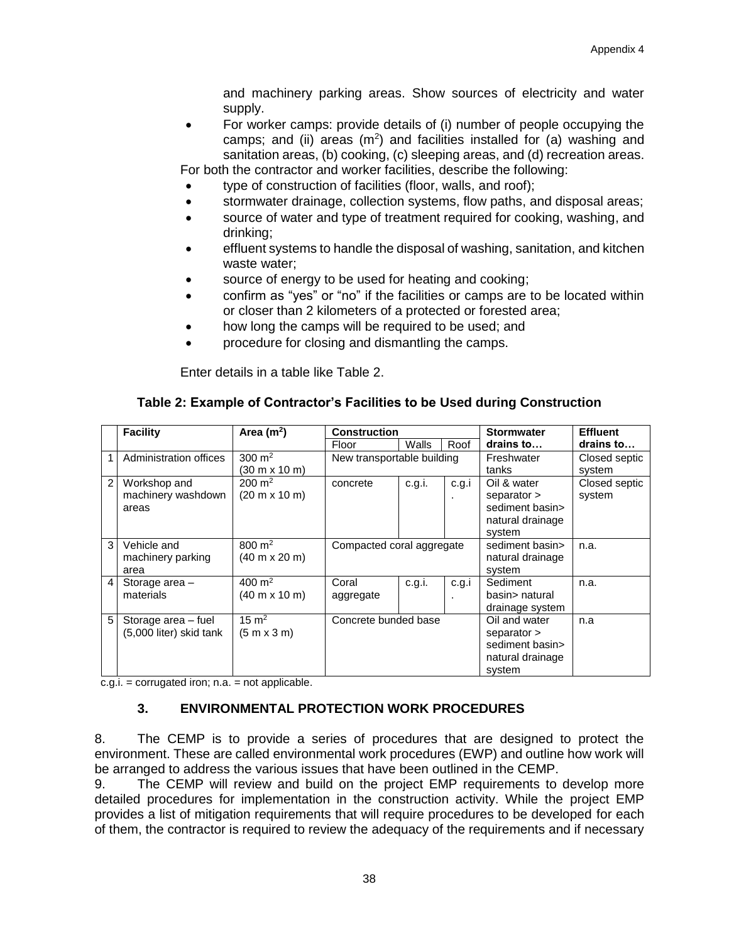and machinery parking areas. Show sources of electricity and water supply.

• For worker camps: provide details of (i) number of people occupying the camps; and (ii) areas  $(m^2)$  and facilities installed for (a) washing and sanitation areas, (b) cooking, (c) sleeping areas, and (d) recreation areas. For both the contractor and worker facilities, describe the following:

type of construction of facilities (floor, walls, and roof);

- stormwater drainage, collection systems, flow paths, and disposal areas;
- source of water and type of treatment required for cooking, washing, and drinking;
- effluent systems to handle the disposal of washing, sanitation, and kitchen waste water;
- source of energy to be used for heating and cooking;
- confirm as "yes" or "no" if the facilities or camps are to be located within or closer than 2 kilometers of a protected or forested area;
- how long the camps will be required to be used; and
- procedure for closing and dismantling the camps.

Enter details in a table like Table 2.

### **Table 2: Example of Contractor's Facilities to be Used during Construction**

|                | <b>Facility</b>                          | Area $(m2)$                                                 | <b>Construction</b>        |        |                                               | <b>Stormwater</b>                                            | <b>Effluent</b> |
|----------------|------------------------------------------|-------------------------------------------------------------|----------------------------|--------|-----------------------------------------------|--------------------------------------------------------------|-----------------|
|                |                                          |                                                             | Floor                      | Walls  | Roof                                          | drains to                                                    | drains to       |
|                | Administration offices                   | 300 $m2$                                                    | New transportable building |        |                                               | Freshwater                                                   | Closed septic   |
|                |                                          | (30 m x 10 m)                                               |                            |        |                                               | tanks                                                        | system          |
| $\overline{2}$ | Workshop and                             | $200 \; \text{m}^2$                                         | concrete                   | c.g.i. | c.g.i                                         | Oil & water                                                  | Closed septic   |
|                | machinery washdown<br>areas              | $(20 \text{ m} \times 10 \text{ m})$                        |                            |        |                                               | separator ><br>sediment basin><br>natural drainage<br>system | system          |
| 3              | Vehicle and<br>machinery parking<br>area | $800 \; \text{m}^2$<br>$(40 \text{ m} \times 20 \text{ m})$ | Compacted coral aggregate  |        | sediment basin><br>natural drainage<br>system | n.a.                                                         |                 |
| 4              | Storage area -                           | 400 m <sup>2</sup>                                          | Coral                      | c.g.i. | c.g.i                                         | Sediment                                                     | n.a.            |
|                | materials                                | $(40 \text{ m} \times 10 \text{ m})$                        | aggregate                  |        |                                               | basin> natural                                               |                 |
|                |                                          |                                                             |                            |        |                                               | drainage system                                              |                 |
| 5              | Storage area - fuel                      | $15 \text{ m}^2$                                            | Concrete bunded base       |        |                                               | Oil and water                                                | n.a             |
|                | (5,000 liter) skid tank                  | (5 m x 3 m)                                                 |                            |        |                                               | separator >                                                  |                 |
|                |                                          |                                                             |                            |        |                                               | sediment basin>                                              |                 |
|                |                                          |                                                             |                            |        |                                               | natural drainage                                             |                 |
|                |                                          |                                                             |                            |        |                                               | system                                                       |                 |

 $c.g.i. =$  corrugated iron;  $n.a. =$  not applicable.

## **3. ENVIRONMENTAL PROTECTION WORK PROCEDURES**

8. The CEMP is to provide a series of procedures that are designed to protect the environment. These are called environmental work procedures (EWP) and outline how work will be arranged to address the various issues that have been outlined in the CEMP.

9. The CEMP will review and build on the project EMP requirements to develop more detailed procedures for implementation in the construction activity. While the project EMP provides a list of mitigation requirements that will require procedures to be developed for each of them, the contractor is required to review the adequacy of the requirements and if necessary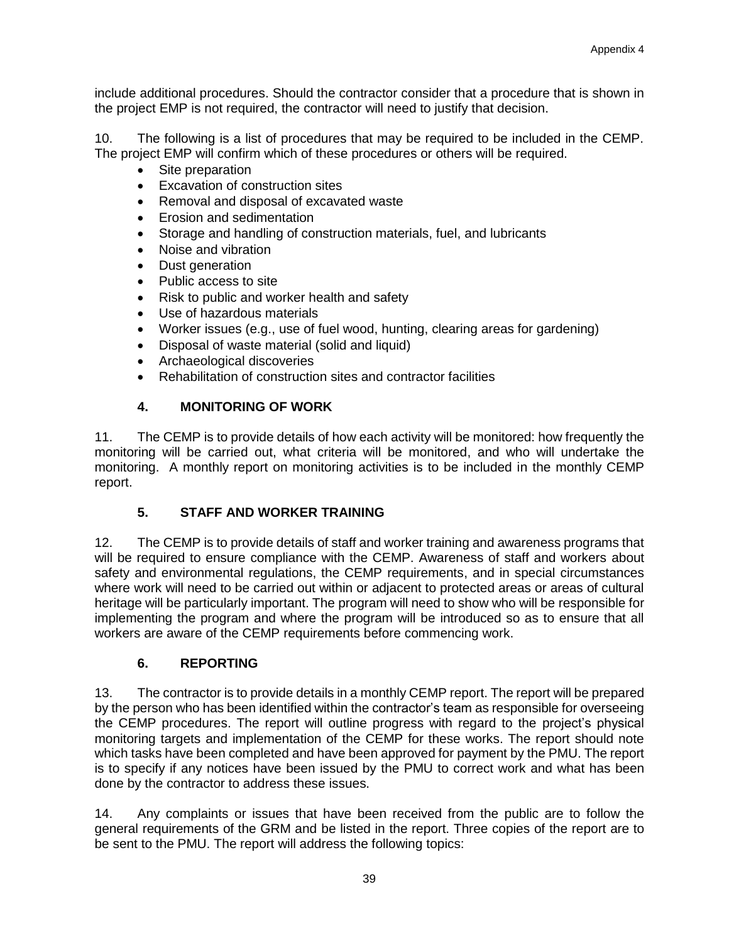include additional procedures. Should the contractor consider that a procedure that is shown in the project EMP is not required, the contractor will need to justify that decision.

10. The following is a list of procedures that may be required to be included in the CEMP. The project EMP will confirm which of these procedures or others will be required.

- Site preparation
- Excavation of construction sites
- Removal and disposal of excavated waste
- Erosion and sedimentation
- Storage and handling of construction materials, fuel, and lubricants
- Noise and vibration
- Dust generation
- Public access to site
- Risk to public and worker health and safety
- Use of hazardous materials
- Worker issues (e.g., use of fuel wood, hunting, clearing areas for gardening)
- Disposal of waste material (solid and liquid)
- Archaeological discoveries
- Rehabilitation of construction sites and contractor facilities

## **4. MONITORING OF WORK**

11. The CEMP is to provide details of how each activity will be monitored: how frequently the monitoring will be carried out, what criteria will be monitored, and who will undertake the monitoring. A monthly report on monitoring activities is to be included in the monthly CEMP report.

### **5. STAFF AND WORKER TRAINING**

12. The CEMP is to provide details of staff and worker training and awareness programs that will be required to ensure compliance with the CEMP. Awareness of staff and workers about safety and environmental regulations, the CEMP requirements, and in special circumstances where work will need to be carried out within or adjacent to protected areas or areas of cultural heritage will be particularly important. The program will need to show who will be responsible for implementing the program and where the program will be introduced so as to ensure that all workers are aware of the CEMP requirements before commencing work.

### **6. REPORTING**

13. The contractor is to provide details in a monthly CEMP report. The report will be prepared by the person who has been identified within the contractor's team as responsible for overseeing the CEMP procedures. The report will outline progress with regard to the project's physical monitoring targets and implementation of the CEMP for these works. The report should note which tasks have been completed and have been approved for payment by the PMU. The report is to specify if any notices have been issued by the PMU to correct work and what has been done by the contractor to address these issues.

14. Any complaints or issues that have been received from the public are to follow the general requirements of the GRM and be listed in the report. Three copies of the report are to be sent to the PMU. The report will address the following topics: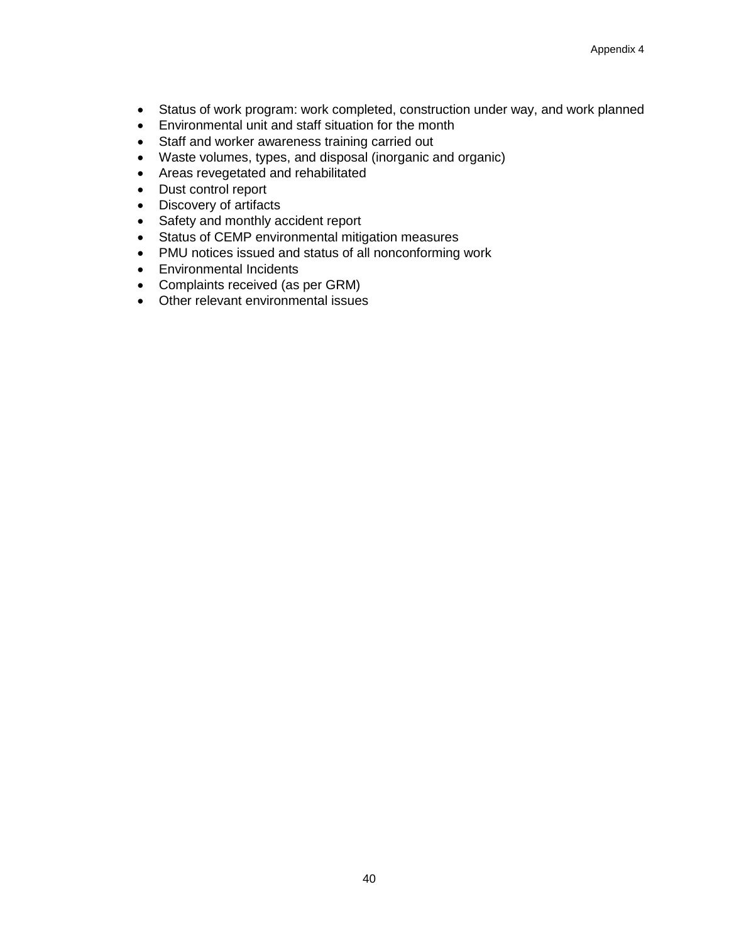- Status of work program: work completed, construction under way, and work planned
- Environmental unit and staff situation for the month
- Staff and worker awareness training carried out
- Waste volumes, types, and disposal (inorganic and organic)
- Areas revegetated and rehabilitated
- Dust control report
- Discovery of artifacts
- Safety and monthly accident report
- Status of CEMP environmental mitigation measures
- PMU notices issued and status of all nonconforming work
- Environmental Incidents
- Complaints received (as per GRM)
- Other relevant environmental issues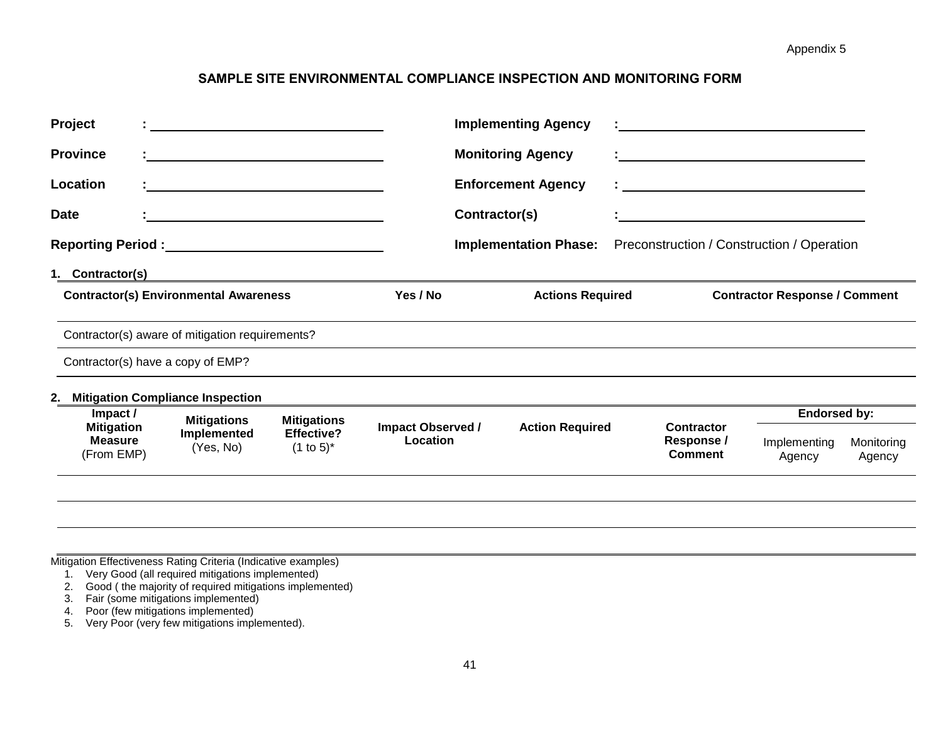## **SAMPLE SITE ENVIRONMENTAL COMPLIANCE INSPECTION AND MONITORING FORM**

| Project                       |                                                 |                                   |                          |               | <b>Implementing Agency</b>   |                                            |                                      |                      |
|-------------------------------|-------------------------------------------------|-----------------------------------|--------------------------|---------------|------------------------------|--------------------------------------------|--------------------------------------|----------------------|
| <b>Province</b>               |                                                 |                                   |                          |               | <b>Monitoring Agency</b>     |                                            |                                      |                      |
| Location                      |                                                 |                                   |                          |               | <b>Enforcement Agency</b>    |                                            |                                      |                      |
| <b>Date</b>                   |                                                 |                                   |                          | Contractor(s) |                              |                                            |                                      |                      |
|                               |                                                 |                                   |                          |               | <b>Implementation Phase:</b> | Preconstruction / Construction / Operation |                                      |                      |
| 1. Contractor(s)              |                                                 |                                   |                          |               |                              |                                            |                                      |                      |
|                               | <b>Contractor(s) Environmental Awareness</b>    |                                   | Yes / No                 |               | <b>Actions Required</b>      |                                            | <b>Contractor Response / Comment</b> |                      |
|                               | Contractor(s) aware of mitigation requirements? |                                   |                          |               |                              |                                            |                                      |                      |
|                               | Contractor(s) have a copy of EMP?               |                                   |                          |               |                              |                                            |                                      |                      |
|                               | 2. Mitigation Compliance Inspection             |                                   |                          |               |                              |                                            |                                      |                      |
| Impact /<br><b>Mitigation</b> | <b>Mitigations</b>                              | <b>Mitigations</b>                | <b>Impact Observed /</b> |               | <b>Action Required</b>       | <b>Contractor</b>                          | <b>Endorsed by:</b>                  |                      |
| <b>Measure</b><br>(From EMP)  | Implemented<br>(Yes, No)                        | <b>Effective?</b><br>$(1 to 5)^*$ | Location                 |               |                              | Response /<br><b>Comment</b>               | Implementing<br>Agency               | Monitoring<br>Agency |
|                               |                                                 |                                   |                          |               |                              |                                            |                                      |                      |
|                               |                                                 |                                   |                          |               |                              |                                            |                                      |                      |

Mitigation Effectiveness Rating Criteria (Indicative examples)

- 1. Very Good (all required mitigations implemented)
- 2. Good ( the majority of required mitigations implemented)
- 3. Fair (some mitigations implemented)

4. Poor (few mitigations implemented)

5. Very Poor (very few mitigations implemented).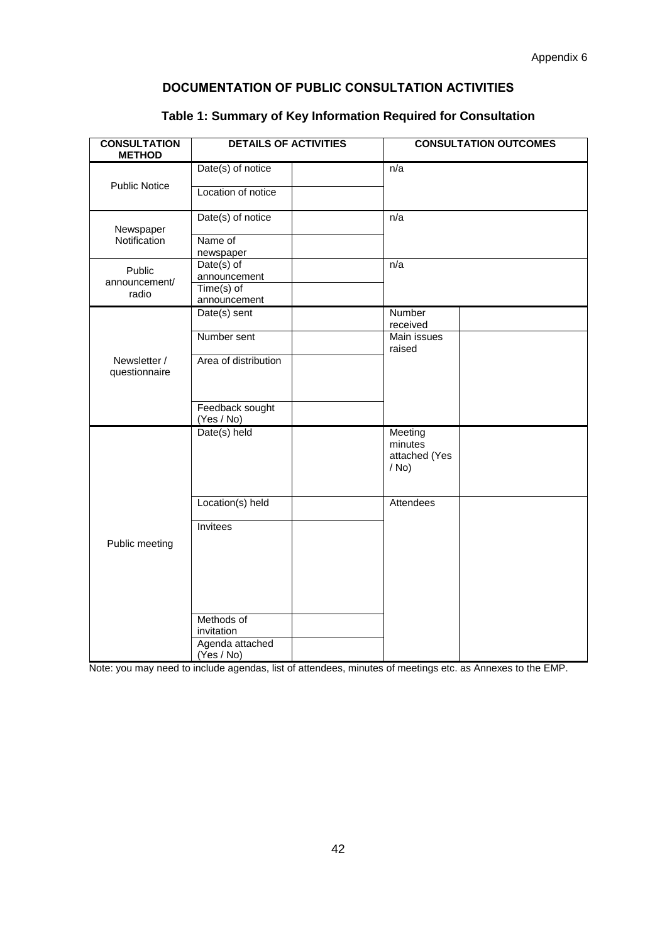# **DOCUMENTATION OF PUBLIC CONSULTATION ACTIVITIES**

| <b>CONSULTATION</b><br><b>METHOD</b> | <b>DETAILS OF ACTIVITIES</b>                |  |                                                | <b>CONSULTATION OUTCOMES</b> |
|--------------------------------------|---------------------------------------------|--|------------------------------------------------|------------------------------|
|                                      | Date(s) of notice                           |  | n/a                                            |                              |
| <b>Public Notice</b>                 | Location of notice                          |  |                                                |                              |
| Newspaper                            | Date(s) of notice                           |  | n/a                                            |                              |
| Notification                         | Name of<br>newspaper                        |  |                                                |                              |
| Public                               | Date(s) of<br>announcement                  |  | n/a                                            |                              |
| announcement/<br>radio               | $Time(s)$ of<br>announcement                |  |                                                |                              |
|                                      | Date(s) sent                                |  | Number<br>received                             |                              |
|                                      | Number sent                                 |  | Main issues<br>raised                          |                              |
| Newsletter /<br>questionnaire        | Area of distribution                        |  |                                                |                              |
|                                      | Feedback sought<br>(Yes / No)               |  |                                                |                              |
|                                      | Date(s) held                                |  | Meeting<br>minutes<br>attached (Yes<br>$/$ No) |                              |
|                                      | Location(s) held                            |  | Attendees                                      |                              |
| Public meeting                       | Invitees                                    |  |                                                |                              |
|                                      | Methods of<br>invitation<br>Agenda attached |  |                                                |                              |
|                                      | (Yes / No)                                  |  |                                                |                              |

## **Table 1: Summary of Key Information Required for Consultation**

Note: you may need to include agendas, list of attendees, minutes of meetings etc. as Annexes to the EMP.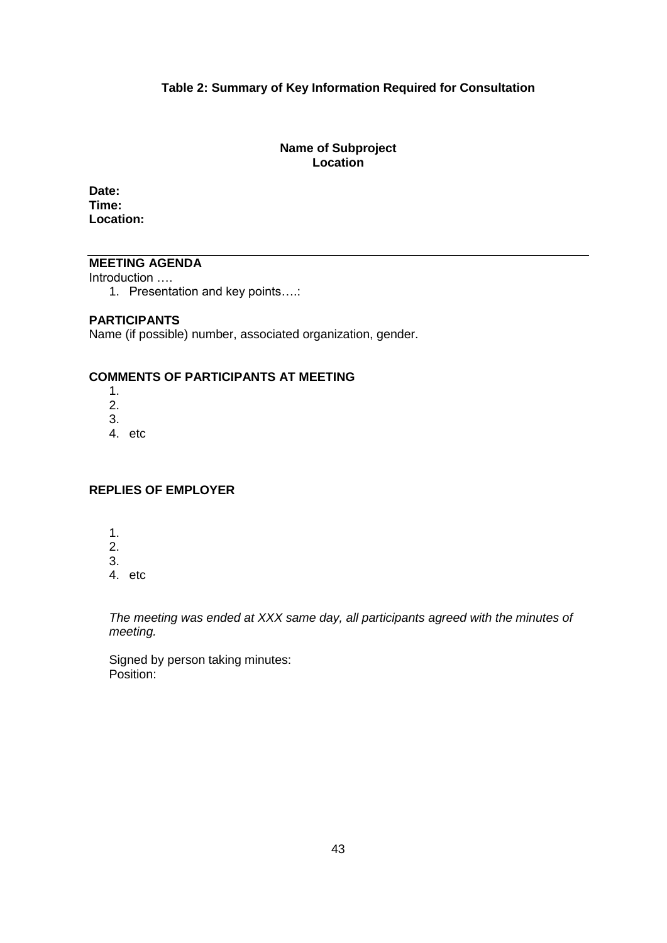#### **Table 2: Summary of Key Information Required for Consultation**

#### **Name of Subproject Location**

**Date: Time: Location:** 

## **MEETING AGENDA**

Introduction ….

1. Presentation and key points….:

#### **PARTICIPANTS**

Name (if possible) number, associated organization, gender.

## **COMMENTS OF PARTICIPANTS AT MEETING**

- 1. 2. 3.
- 4. etc

### **REPLIES OF EMPLOYER**

- 1.
- 2.
- 3.
- 4. etc

*The meeting was ended at XXX same day, all participants agreed with the minutes of meeting.* 

Signed by person taking minutes: Position: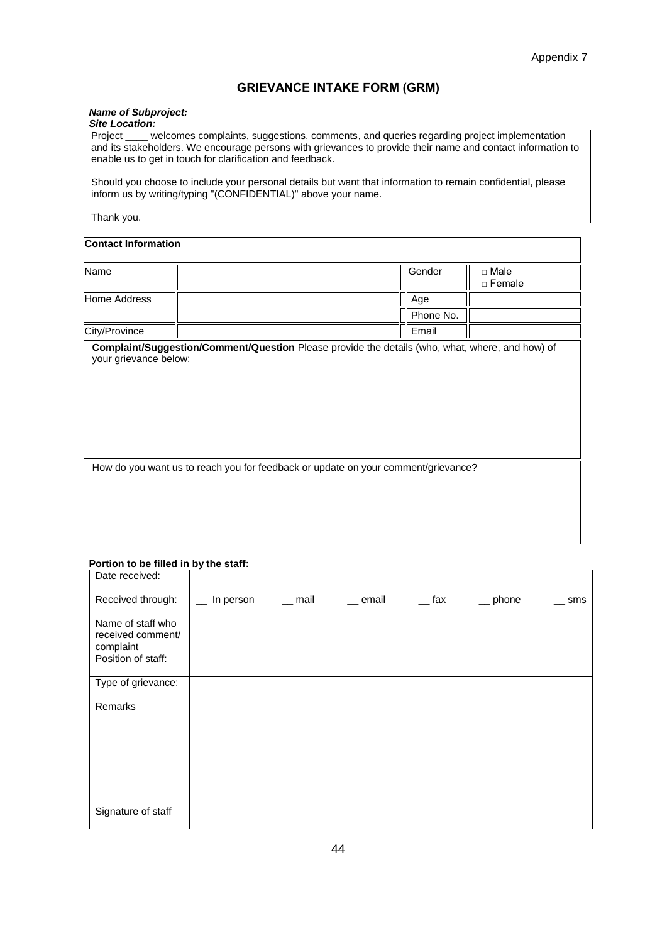#### **GRIEVANCE INTAKE FORM (GRM)**

#### *Name of Subproject:*

| <b>Site Location:</b> |  |
|-----------------------|--|
|                       |  |

Project \_\_\_\_ welcomes complaints, suggestions, comments, and queries regarding project implementation and its stakeholders. We encourage persons with grievances to provide their name and contact information to enable us to get in touch for clarification and feedback.

Should you choose to include your personal details but want that information to remain confidential, please inform us by writing/typing "(CONFIDENTIAL)" above your name.

#### Thank you.

#### **Contact Information**

| Name          | <b>I</b> Gender | □ Male<br>□ Female |
|---------------|-----------------|--------------------|
| Home Address  | $\parallel$ Age |                    |
|               | Phone No.       |                    |
| City/Province | Il Email        |                    |

**Complaint/Suggestion/Comment/Question** Please provide the details (who, what, where, and how) of your grievance below:

How do you want us to reach you for feedback or update on your comment/grievance?

#### **Portion to be filled in by the staff:**

| Date received:                                      |           |          |           |         |                            |     |
|-----------------------------------------------------|-----------|----------|-----------|---------|----------------------------|-----|
| Received through:                                   | In person | $-$ mail | $-$ email | $-$ fax | $\rule{1em}{0.15mm}$ phone | sms |
| Name of staff who<br>received comment/<br>complaint |           |          |           |         |                            |     |
| Position of staff:                                  |           |          |           |         |                            |     |
| Type of grievance:                                  |           |          |           |         |                            |     |
| Remarks                                             |           |          |           |         |                            |     |
| Signature of staff                                  |           |          |           |         |                            |     |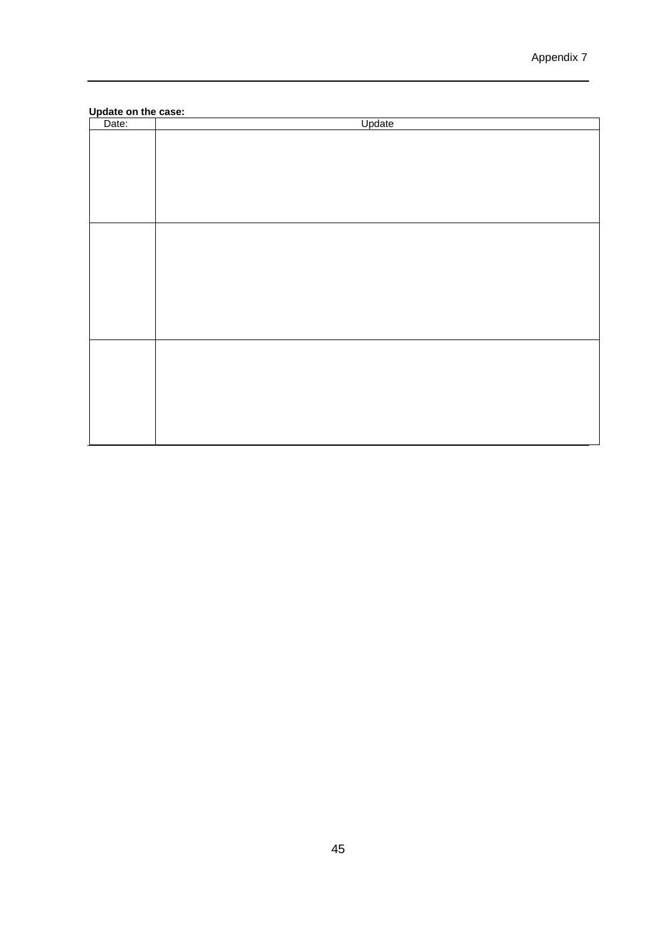#### **Update on the case:**

| Date: | Update |
|-------|--------|
|       |        |
|       |        |
|       |        |
|       |        |
|       |        |
|       |        |
|       |        |
|       |        |
|       |        |
|       |        |
|       |        |
|       |        |
|       |        |
|       |        |
|       |        |
|       |        |
|       |        |
|       |        |
|       |        |
|       |        |
|       |        |
|       |        |
|       |        |
|       |        |
|       |        |
|       |        |
|       |        |
|       |        |
|       |        |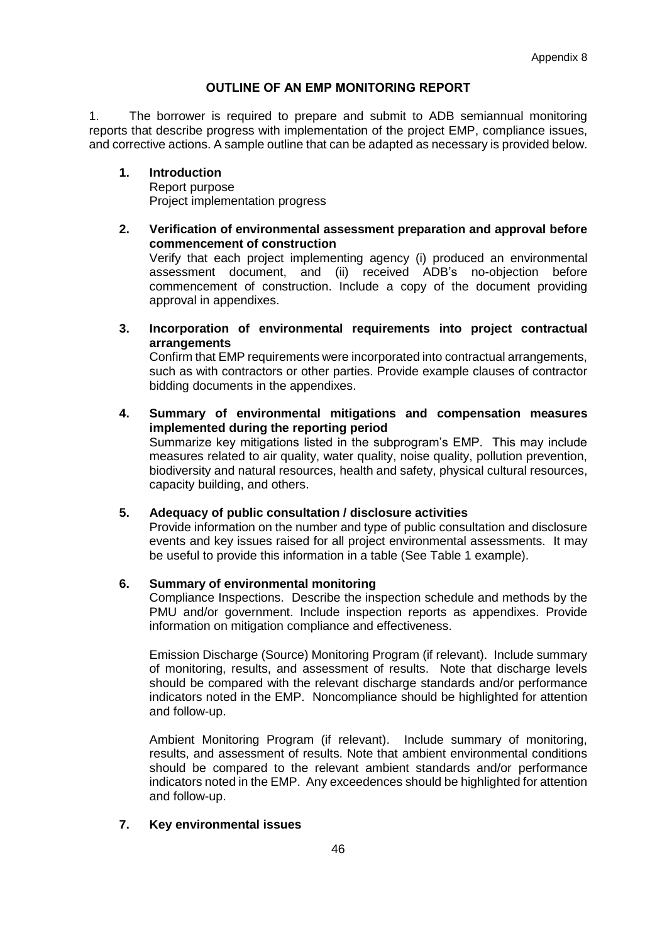#### **OUTLINE OF AN EMP MONITORING REPORT**

1. The borrower is required to prepare and submit to ADB semiannual monitoring reports that describe progress with implementation of the project EMP, compliance issues, and corrective actions. A sample outline that can be adapted as necessary is provided below.

#### **1. Introduction** Report purpose

Project implementation progress

**2. Verification of environmental assessment preparation and approval before commencement of construction**

Verify that each project implementing agency (i) produced an environmental assessment document, and (ii) received ADB's no-objection before commencement of construction. Include a copy of the document providing approval in appendixes.

**3. Incorporation of environmental requirements into project contractual arrangements**

Confirm that EMP requirements were incorporated into contractual arrangements, such as with contractors or other parties. Provide example clauses of contractor bidding documents in the appendixes.

**4. Summary of environmental mitigations and compensation measures implemented during the reporting period** Summarize key mitigations listed in the subprogram's EMP. This may include measures related to air quality, water quality, noise quality, pollution prevention, biodiversity and natural resources, health and safety, physical cultural resources, capacity building, and others.

### **5. Adequacy of public consultation / disclosure activities**

Provide information on the number and type of public consultation and disclosure events and key issues raised for all project environmental assessments. It may be useful to provide this information in a table (See Table 1 example).

### **6. Summary of environmental monitoring**

Compliance Inspections. Describe the inspection schedule and methods by the PMU and/or government. Include inspection reports as appendixes. Provide information on mitigation compliance and effectiveness.

Emission Discharge (Source) Monitoring Program (if relevant). Include summary of monitoring, results, and assessment of results. Note that discharge levels should be compared with the relevant discharge standards and/or performance indicators noted in the EMP. Noncompliance should be highlighted for attention and follow-up.

Ambient Monitoring Program (if relevant). Include summary of monitoring, results, and assessment of results. Note that ambient environmental conditions should be compared to the relevant ambient standards and/or performance indicators noted in the EMP. Any exceedences should be highlighted for attention and follow-up.

### **7. Key environmental issues**